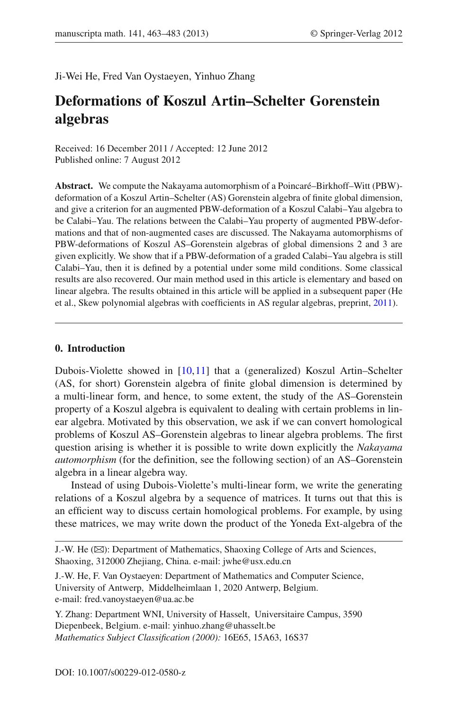Ji-Wei He, Fred Van Oystaeyen, Yinhuo Zhang

# **Deformations of Koszul Artin–Schelter Gorenstein algebras**

Received: 16 December 2011 / Accepted: 12 June 2012 Published online: 7 August 2012

**Abstract.** We compute the Nakayama automorphism of a Poincaré–Birkhoff–Witt (PBW) deformation of a Koszul Artin–Schelter (AS) Gorenstein algebra of finite global dimension, and give a criterion for an augmented PBW-deformation of a Koszul Calabi–Yau algebra to be Calabi–Yau. The relations between the Calabi–Yau property of augmented PBW-deformations and that of non-augmented cases are discussed. The Nakayama automorphisms of PBW-deformations of Koszul AS–Gorenstein algebras of global dimensions 2 and 3 are given explicitly. We show that if a PBW-deformation of a graded Calabi–Yau algebra is still Calabi–Yau, then it is defined by a potential under some mild conditions. Some classical results are also recovered. Our main method used in this article is elementary and based on linear algebra. The results obtained in this article will be applied in a subsequent paper (He et al., Skew polynomial algebras with coefficients in AS regular algebras, preprint, [2011\)](#page-19-0).

## **0. Introduction**

Dubois-Violette showed in [\[10](#page-19-1)[,11](#page-19-2)] that a (generalized) Koszul Artin–Schelter (AS, for short) Gorenstein algebra of finite global dimension is determined by a multi-linear form, and hence, to some extent, the study of the AS–Gorenstein property of a Koszul algebra is equivalent to dealing with certain problems in linear algebra. Motivated by this observation, we ask if we can convert homological problems of Koszul AS–Gorenstein algebras to linear algebra problems. The first question arising is whether it is possible to write down explicitly the *Nakayama automorphism* (for the definition, see the following section) of an AS–Gorenstein algebra in a linear algebra way.

Instead of using Dubois-Violette's multi-linear form, we write the generating relations of a Koszul algebra by a sequence of matrices. It turns out that this is an efficient way to discuss certain homological problems. For example, by using these matrices, we may write down the product of the Yoneda Ext-algebra of the

J.-W. He ( $\boxtimes$ ): Department of Mathematics, Shaoxing College of Arts and Sciences, Shaoxing, 312000 Zhejiang, China. e-mail: jwhe@usx.edu.cn

J.-W. He, F. Van Oystaeyen: Department of Mathematics and Computer Science, University of Antwerp, Middelheimlaan 1, 2020 Antwerp, Belgium. e-mail: fred.vanoystaeyen@ua.ac.be

Y. Zhang: Department WNI, University of Hasselt, Universitaire Campus, 3590 Diepenbeek, Belgium. e-mail: yinhuo.zhang@uhasselt.be *Mathematics Subject Classification (2000):* 16E65, 15A63, 16S37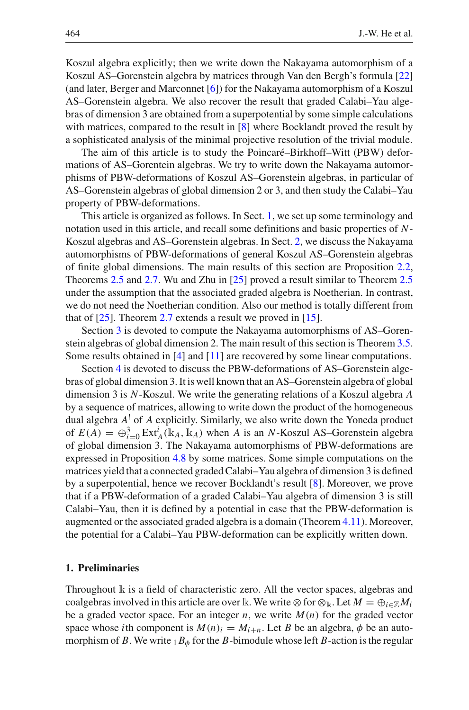Koszul algebra explicitly; then we write down the Nakayama automorphism of a Koszul AS–Gorenstein algebra by matrices through Van den Bergh's formula [\[22\]](#page-19-3) (and later, Berger and Marconnet [\[6\]](#page-19-4)) for the Nakayama automorphism of a Koszul AS–Gorenstein algebra. We also recover the result that graded Calabi–Yau algebras of dimension 3 are obtained from a superpotential by some simple calculations with matrices, compared to the result in [\[8](#page-19-5)] where Bocklandt proved the result by a sophisticated analysis of the minimal projective resolution of the trivial module.

The aim of this article is to study the Poincaré–Birkhoff–Witt (PBW) deformations of AS–Gorentein algebras. We try to write down the Nakayama automorphisms of PBW-deformations of Koszul AS–Gorenstein algebras, in particular of AS–Gorenstein algebras of global dimension 2 or 3, and then study the Calabi–Yau property of PBW-deformations.

This article is organized as follows. In Sect. [1,](#page-1-0) we set up some terminology and notation used in this article, and recall some definitions and basic properties of *N*-Koszul algebras and AS–Gorenstein algebras. In Sect. [2,](#page-4-0) we discuss the Nakayama automorphisms of PBW-deformations of general Koszul AS–Gorenstein algebras of finite global dimensions. The main results of this section are Proposition [2.2,](#page-7-0) Theorems [2.5](#page-8-0) and [2.7.](#page-8-1) Wu and Zhu in [\[25\]](#page-20-0) proved a result similar to Theorem [2.5](#page-8-0) under the assumption that the associated graded algebra is Noetherian. In contrast, we do not need the Noetherian condition. Also our method is totally different from that of  $[25]$ . Theorem [2.7](#page-8-1) extends a result we proved in  $[15]$  $[15]$ .

Section [3](#page-9-0) is devoted to compute the Nakayama automorphisms of AS–Gorenstein algebras of global dimension 2. The main result of this section is Theorem [3.5.](#page-11-0) Some results obtained in [\[4](#page-19-7)] and [\[11](#page-19-2)] are recovered by some linear computations.

Section [4](#page-12-0) is devoted to discuss the PBW-deformations of AS–Gorenstein algebras of global dimension 3. It is well known that an AS–Gorenstein algebra of global dimension 3 is *N*-Koszul. We write the generating relations of a Koszul algebra *A* by a sequence of matrices, allowing to write down the product of the homogeneous dual algebra *A*! of *A* explicitly. Similarly, we also write down the Yoneda product of  $E(A) = \bigoplus_{i=0}^{3} \text{Ext}_{A}^{i}(\mathbb{k}_{A}, \mathbb{k}_{A})$  when *A* is an *N*-Koszul AS–Gorenstein algebra of global dimension 3. The Nakayama automorphisms of PBW-deformations are expressed in Proposition [4.8](#page-17-0) by some matrices. Some simple computations on the matrices yield that a connected graded Calabi–Yau algebra of dimension 3 is defined by a superpotential, hence we recover Bocklandt's result [\[8](#page-19-5)]. Moreover, we prove that if a PBW-deformation of a graded Calabi–Yau algebra of dimension 3 is still Calabi–Yau, then it is defined by a potential in case that the PBW-deformation is augmented or the associated graded algebra is a domain (Theorem [4.11\)](#page-18-0). Moreover, the potential for a Calabi–Yau PBW-deformation can be explicitly written down.

## <span id="page-1-0"></span>**1. Preliminaries**

Throughout k is a field of characteristic zero. All the vector spaces, algebras and coalgebras involved in this article are over k. We write  $\otimes$  for  $\otimes_k$ . Let  $M = \bigoplus_{i \in \mathbb{Z}} M_i$ be a graded vector space. For an integer  $n$ , we write  $M(n)$  for the graded vector space whose *i*th component is  $M(n)$ <sup>*i*</sup> =  $M$ <sup>*i*+*n*</sub>. Let *B* be an algebra,  $\phi$  be an auto-</sup> morphism of *B*. We write  $_1B_\phi$  for the *B*-bimodule whose left *B*-action is the regular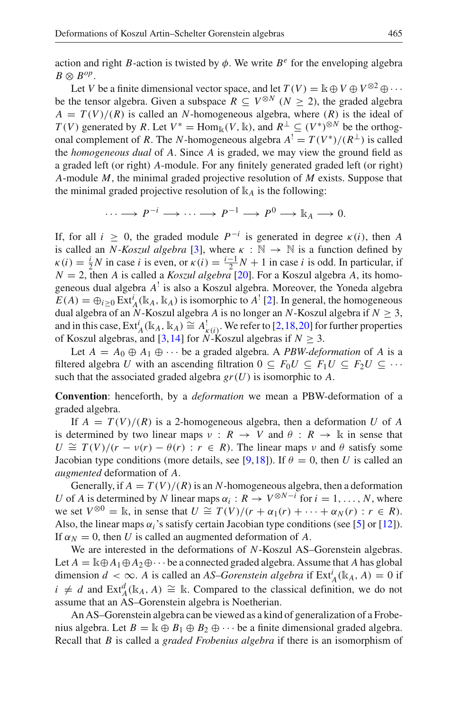action and right *B*-action is twisted by  $\phi$ . We write *B<sup>e</sup>* for the enveloping algebra  $B \otimes B^{op}$ .

Let *V* be a finite dimensional vector space, and let  $T(V) = \mathbb{k} \oplus V \oplus V^{\otimes 2} \oplus \cdots$ be the tensor algebra. Given a subspace  $R \subseteq V^{\otimes N}$  ( $N > 2$ ), the graded algebra  $A = T(V)/(R)$  is called an *N*-homogeneous algebra, where  $(R)$  is the ideal of *T*(*V*) generated by *R*. Let  $V^* = \text{Hom}_{\mathbb{k}}(V, \mathbb{k})$ , and  $R^{\perp} \subseteq (V^*)^{\otimes N}$  be the orthogonal complement of *R*. The *N*-homogeneous algebra  $A^1 = T(V^*)/(R^{\perp})$  is called the *homogeneous dual* of *A*. Since *A* is graded, we may view the ground field as a graded left (or right) *A*-module. For any finitely generated graded left (or right) *A*-module *M*, the minimal graded projective resolution of *M* exists. Suppose that the minimal graded projective resolution of  $\mathbb{k}_A$  is the following:

$$
\cdots \longrightarrow P^{-i} \longrightarrow \cdots \longrightarrow P^{-1} \longrightarrow P^0 \longrightarrow \mathbb{k}_A \longrightarrow 0.
$$

If, for all *i* ≥ 0, the graded module *P*−*<sup>i</sup>* is generated in degree κ(*i*), then *A* is called an *N-Koszul algebra* [\[3\]](#page-19-8), where  $\kappa : \mathbb{N} \to \mathbb{N}$  is a function defined by  $\kappa(i) = \frac{i}{2}N$  in case *i* is even, or  $\kappa(i) = \frac{i-1}{2}N + 1$  in case *i* is odd. In particular, if  $N = 2$ , then *A* is called a *Koszul algebra* [\[20\]](#page-19-9). For a Koszul algebra *A*, its homogeneous dual algebra *A*! is also a Koszul algebra. Moreover, the Yoneda algebra  $E(A) = \bigoplus_{i \geq 0} \text{Ext}_{A}^{i}(\mathbb{k}_{A}, \mathbb{k}_{A})$  is isomorphic to  $A^{!}$  [\[2](#page-19-10)]. In general, the homogeneous dual algebra of an  $\ddot{N}$ -Koszul algebra  $\ddot{A}$  is no longer an  $\ddot{N}$ -Koszul algebra if  $N \geq 3$ , and in this case,  $Ext_A^i(\mathbb{k}_A, \mathbb{k}_A) \cong A_{\kappa(i)}^1$ . We refer to [\[2,](#page-19-10)[18](#page-19-11)[,20](#page-19-9)] for further properties of Koszul algebras, and [\[3](#page-19-8), 14] for *N*-Koszul algebras if  $N \geq 3$ .

Let  $A = A_0 \oplus A_1 \oplus \cdots$  be a graded algebra. A *PBW-deformation* of A is a filtered algebra *U* with an ascending filtration  $0 \subseteq F_0U \subseteq F_1U \subseteq F_2U \subseteq \cdots$ such that the associated graded algebra  $gr(U)$  is isomorphic to  $A$ .

**Convention**: henceforth, by a *deformation* we mean a PBW-deformation of a graded algebra.

If  $A = T(V)/(R)$  is a 2-homogeneous algebra, then a deformation *U* of *A* is determined by two linear maps  $v : R \to V$  and  $\theta : R \to \mathbb{R}$  in sense that  $U \cong T(V)/(r - v(r) - \theta(r) : r \in R)$ . The linear maps v and  $\theta$  satisfy some Jacobian type conditions (more details, see [\[9,](#page-19-13)[18\]](#page-19-11)). If  $\theta = 0$ , then *U* is called an *augmented* deformation of *A*.

Generally, if  $A = T(V)/(R)$  is an *N*-homogeneous algebra, then a deformation *U* of *A* is determined by *N* linear maps  $\alpha_i : R \to V^{\otimes N-i}$  for  $i = 1, \ldots, N$ , where we set  $V^{\otimes 0} = \mathbb{k}$ , in sense that  $U \cong T(V)/(r + \alpha_1(r) + \cdots + \alpha_N(r) : r \in R)$ . Also, the linear maps  $\alpha_i$ 's satisfy certain Jacobian type conditions (see [\[5](#page-19-14)] or [\[12](#page-19-15)]). If  $\alpha_N = 0$ , then *U* is called an augmented deformation of *A*.

We are interested in the deformations of *N*-Koszul AS–Gorenstein algebras. Let  $A = \mathbb{R} \oplus A_1 \oplus A_2 \oplus \cdots$  be a connected graded algebra. Assume that A has global dimension  $d < \infty$ . *A* is called an *AS–Gorenstein algebra* if  $\text{Ext}_{A}^{i}(\mathbb{k}_{A}, A) = 0$  if *i*  $\neq$  *d* and Ext<sup>*d*</sup><sub>*A*</sub>( $\mathbb{R}_A$ , *A*) ≅  $\mathbb{R}$ . Compared to the classical definition, we do not assume that an AS–Gorenstein algebra is Noetherian.

An AS–Gorenstein algebra can be viewed as a kind of generalization of a Frobenius algebra. Let  $B = \mathbb{k} \oplus B_1 \oplus B_2 \oplus \cdots$  be a finite dimensional graded algebra. Recall that *B* is called a *graded Frobenius algebra* if there is an isomorphism of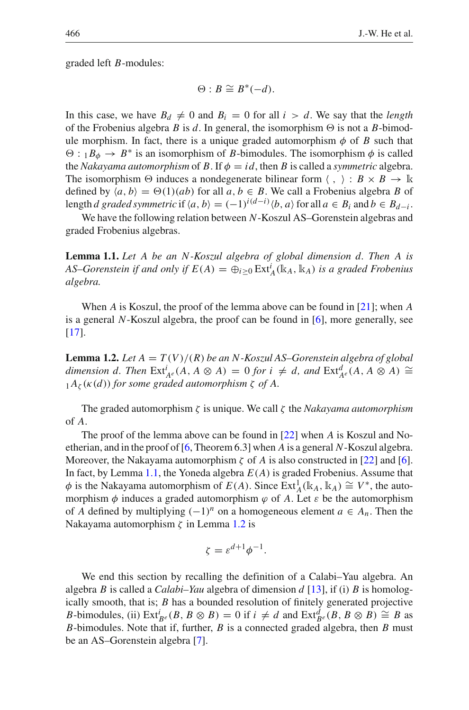graded left *B*-modules:

$$
\Theta: B \cong B^*(-d).
$$

In this case, we have  $B_d \neq 0$  and  $B_i = 0$  for all  $i > d$ . We say that the *length* of the Frobenius algebra *B* is *d*. In general, the isomorphism  $\Theta$  is not a *B*-bimodule morphism. In fact, there is a unique graded automorphism  $\phi$  of *B* such that  $\Theta: {}_{1}B_{\phi} \rightarrow B^*$  is an isomorphism of *B*-bimodules. The isomorphism  $\phi$  is called the *Nakayama automorphism* of *B*. If  $\phi = id$ , then *B* is called a *symmetric* algebra. The isomorphism  $\Theta$  induces a nondegenerate bilinear form  $\langle , \rangle : B \times B \to \mathbb{R}$ defined by  $\langle a, b \rangle = \Theta(1)(ab)$  for all  $a, b \in B$ . We call a Frobenius algebra *B* of length *d* graded symmetric if  $\langle a, b \rangle = (-1)^{i(d-i)} \langle b, a \rangle$  for all  $a \in B_i$  and  $b \in B_{d-i}$ .

<span id="page-3-0"></span>We have the following relation between *N*-Koszul AS–Gorenstein algebras and graded Frobenius algebras.

**Lemma 1.1.** *Let A be an N-Koszul algebra of global dimension d. Then A is AS–Gorenstein if and only if*  $E(A) = \bigoplus_{i \geq 0} \text{Ext}_{A}^{i}(\mathbb{k}_{A}, \mathbb{k}_{A})$  *is a graded Frobenius algebra.*

<span id="page-3-1"></span>When *A* is Koszul, the proof of the lemma above can be found in [\[21\]](#page-19-16); when *A* is a general *N*-Koszul algebra, the proof can be found in [\[6\]](#page-19-4), more generally, see [\[17\]](#page-19-17).

**Lemma 1.2.** Let  $A = T(V)/(R)$  be an N-Koszul AS–Gorenstein algebra of global *dimension d. Then*  $\text{Ext}_{A}^{i}(A, A \otimes A) = 0$  *for*  $i \neq d$ *, and*  $\text{Ext}_{A}^{d}(A, A \otimes A) \cong$  $_1A_\zeta(\kappa(d))$  *for some graded automorphism*  $\zeta$  *of A.* 

The graded automorphism ζ is unique. We call ζ the *Nakayama automorphism* of *A*.

The proof of the lemma above can be found in [\[22](#page-19-3)] when *A* is Koszul and Noetherian, and in the proof of [\[6](#page-19-4), Theorem 6.3] when *A* is a general *N*-Koszul algebra. Moreover, the Nakayama automorphism  $\zeta$  of *A* is also constructed in [\[22\]](#page-19-3) and [\[6](#page-19-4)]. In fact, by Lemma [1.1,](#page-3-0) the Yoneda algebra *E*(*A*) is graded Frobenius. Assume that  $\phi$  is the Nakayama automorphism of  $E(A)$ . Since  $Ext_A^1(\mathbb{k}_A, \mathbb{k}_A) \cong V^*$ , the automorphism  $\phi$  induces a graded automorphism  $\phi$  of A. Let  $\varepsilon$  be the automorphism of *A* defined by multiplying  $(-1)^n$  on a homogeneous element *a* ∈ *A<sub>n</sub>*. Then the Nakayama automorphism  $\zeta$  in Lemma [1.2](#page-3-1) is

$$
\zeta = \varepsilon^{d+1} \phi^{-1}.
$$

We end this section by recalling the definition of a Calabi–Yau algebra. An algebra *B* is called a *Calabi–Yau* algebra of dimension *d* [\[13](#page-19-18)], if (i) *B* is homologically smooth, that is; *B* has a bounded resolution of finitely generated projective *B*-bimodules, (ii) Ext $i_{B}$ *e* (*B*, *B*  $\otimes$  *B*) = 0 if  $i \neq d$  and Ext $\frac{d}{de}(B, B \otimes B) \cong B$  as *B*-bimodules. Note that if, further, *B* is a connected graded algebra, then *B* must be an AS–Gorenstein algebra [\[7](#page-19-19)].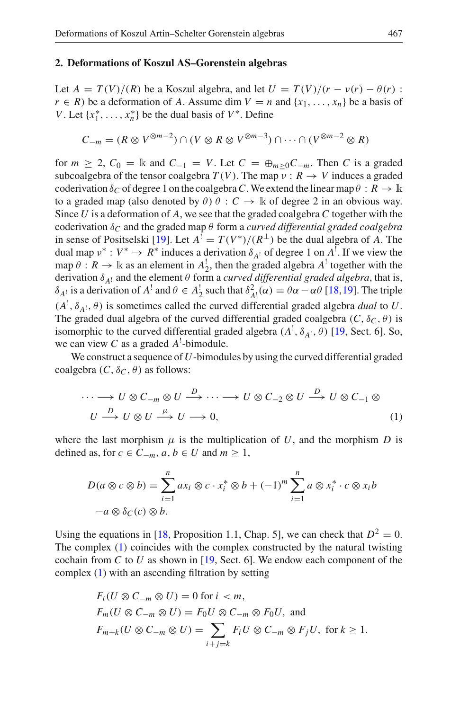#### <span id="page-4-0"></span>**2. Deformations of Koszul AS–Gorenstein algebras**

Let  $A = T(V)/(R)$  be a Koszul algebra, and let  $U = T(V)/(r - v(r) - \theta(r))$ : *r* ∈ *R*) be a deformation of *A*. Assume dim  $V = n$  and {*x*<sub>1</sub>, ..., *x<sub>n</sub>*} be a basis of *V*. Let  $\{x_1^*, \ldots, x_n^*\}$  be the dual basis of *V*<sup>∗</sup>. Define

$$
C_{-m} = (R \otimes V^{\otimes m-2}) \cap (V \otimes R \otimes V^{\otimes m-3}) \cap \cdots \cap (V^{\otimes m-2} \otimes R)
$$

for  $m \geq 2$ ,  $C_0 = \mathbb{k}$  and  $C_{-1} = V$ . Let  $C = \bigoplus_{m \geq 0} C_{-m}$ . Then *C* is a graded subcoalgebra of the tensor coalgebra  $T(V)$ . The map  $v : R \rightarrow V$  induces a graded coderivation  $\delta_C$  of degree 1 on the coalgebra C. We extend the linear map  $\theta : R \to \mathbb{R}$ to a graded map (also denoted by  $\theta$ )  $\theta$  :  $C \rightarrow \mathbb{k}$  of degree 2 in an obvious way. Since *U* is a deformation of *A*, we see that the graded coalgebra *C* together with the coderivation δ*<sup>C</sup>* and the graded map θ form a *curved differential graded coalgebra* in sense of Positselski [\[19\]](#page-19-20). Let  $A^{T} = T(V^{*})/(R^{\perp})$  be the dual algebra of *A*. The dual map  $v^* : V^* \to R^*$  induces a derivation  $\delta_{A}$  of degree 1 on  $A^!$ . If we view the map  $\theta : R \to \mathbb{k}$  as an element in  $A_2^!$ , then the graded algebra  $A^!$  together with the derivation  $\delta_{A}$ ! and the element  $\theta$  form a *curved differential graded algebra*, that is,  $δ_A$ <sup>1</sup> is a derivation of *A*<sup>1</sup> and  $θ ∈ A_2^1$  such that  $δ_A^2$ <sub>1</sub>(α) =  $θα - αθ$  [\[18](#page-19-11)[,19](#page-19-20)]. The triple  $(A^!, \delta_{A^!}, \theta)$  is sometimes called the curved differential graded algebra *dual* to *U*. The graded dual algebra of the curved differential graded coalgebra  $(C, \delta_C, \theta)$  is isomorphic to the curved differential graded algebra  $(A^!, \delta_{A^!}, \theta)$  [\[19](#page-19-20), Sect. 6]. So, we can view *C* as a graded *A*! -bimodule.

<span id="page-4-1"></span>We construct a sequence of*U*-bimodules by using the curved differential graded coalgebra  $(C, \delta_C, \theta)$  as follows:

$$
\cdots \longrightarrow U \otimes C_{-m} \otimes U \stackrel{D}{\longrightarrow} \cdots \longrightarrow U \otimes C_{-2} \otimes U \stackrel{D}{\longrightarrow} U \otimes C_{-1} \otimes
$$
  

$$
U \stackrel{D}{\longrightarrow} U \otimes U \stackrel{\mu}{\longrightarrow} U \longrightarrow 0,
$$
 (1)

where the last morphism  $\mu$  is the multiplication of U, and the morphism D is defined as, for *c* ∈  $C_{-m}$ , *a*, *b* ∈ *U* and *m* ≥ 1,

$$
D(a \otimes c \otimes b) = \sum_{i=1}^{n} ax_i \otimes c \cdot x_i^* \otimes b + (-1)^m \sum_{i=1}^{n} a \otimes x_i^* \cdot c \otimes x_i b
$$
  
- $a \otimes \delta_C(c) \otimes b.$ 

Using the equations in [\[18,](#page-19-11) Proposition 1.1, Chap. 5], we can check that  $D^2 = 0$ . The complex [\(1\)](#page-4-1) coincides with the complex constructed by the natural twisting cochain from *C* to *U* as shown in [\[19](#page-19-20), Sect. 6]. We endow each component of the complex [\(1\)](#page-4-1) with an ascending filtration by setting

$$
F_i(U \otimes C_{-m} \otimes U) = 0 \text{ for } i < m,
$$
\n
$$
F_m(U \otimes C_{-m} \otimes U) = F_0U \otimes C_{-m} \otimes F_0U, \text{ and}
$$
\n
$$
F_{m+k}(U \otimes C_{-m} \otimes U) = \sum_{i+j=k} F_i U \otimes C_{-m} \otimes F_jU, \text{ for } k \ge 1.
$$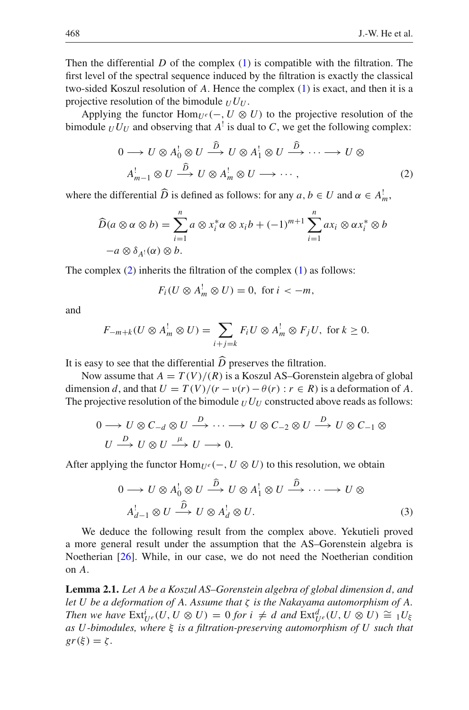Then the differential  $D$  of the complex  $(1)$  is compatible with the filtration. The first level of the spectral sequence induced by the filtration is exactly the classical two-sided Koszul resolution of *A*. Hence the complex [\(1\)](#page-4-1) is exact, and then it is a projective resolution of the bimodule  $U U U$ .

<span id="page-5-0"></span>Applying the functor  $\text{Hom}_{U^e}(-, U \otimes U)$  to the projective resolution of the bimodule  $U U_U$  and observing that  $A^{\dagger}$  is dual to C, we get the following complex:

$$
0 \longrightarrow U \otimes A_0^! \otimes U \stackrel{\widehat{D}}{\longrightarrow} U \otimes A_1^! \otimes U \stackrel{\widehat{D}}{\longrightarrow} \cdots \longrightarrow U \otimes
$$
  

$$
A_{m-1}^! \otimes U \stackrel{\widehat{D}}{\longrightarrow} U \otimes A_m^! \otimes U \longrightarrow \cdots,
$$
 (2)

where the differential  $\widehat{D}$  is defined as follows: for any  $a, b \in U$  and  $\alpha \in A_m^!$ ,

$$
\widehat{D}(a \otimes \alpha \otimes b) = \sum_{i=1}^{n} a \otimes x_i^* \alpha \otimes x_i b + (-1)^{m+1} \sum_{i=1}^{n} a x_i \otimes \alpha x_i^* \otimes b
$$
  
- $a \otimes \delta_{A^!}(\alpha) \otimes b.$ 

The complex  $(2)$  inherits the filtration of the complex  $(1)$  as follows:

$$
F_i(U \otimes A_m^! \otimes U) = 0, \text{ for } i < -m,
$$

and

$$
F_{-m+k}(U \otimes A_m^! \otimes U) = \sum_{i+j=k} F_i U \otimes A_m^! \otimes F_j U, \text{ for } k \ge 0.
$$

It is easy to see that the differential *D* preserves the filtration.<br>Now assume that  $A = T(U)/(D)$  is a Kessul AS. Connect

Now assume that  $A = T(V)/(R)$  is a Koszul AS–Gorenstein algebra of global dimension *d*, and that  $U = T(V)/(r - v(r) - \theta(r) : r \in R)$  is a deformation of A. The projective resolution of the bimodule  $U/U$  constructed above reads as follows:

$$
0 \longrightarrow U \otimes C_{-d} \otimes U \stackrel{D}{\longrightarrow} \cdots \longrightarrow U \otimes C_{-2} \otimes U \stackrel{D}{\longrightarrow} U \otimes C_{-1} \otimes U \stackrel{D}{\longrightarrow} U \otimes U \stackrel{\mu}{\longrightarrow} U \longrightarrow U \longrightarrow U.
$$

<span id="page-5-1"></span>After applying the functor  $\text{Hom}_{U^e}(-, U \otimes U)$  to this resolution, we obtain

$$
0 \longrightarrow U \otimes A_0^1 \otimes U \stackrel{\widehat{D}}{\longrightarrow} U \otimes A_1^1 \otimes U \stackrel{\widehat{D}}{\longrightarrow} \cdots \longrightarrow U \otimes
$$
  

$$
A_{d-1}^1 \otimes U \stackrel{\widehat{D}}{\longrightarrow} U \otimes A_d^1 \otimes U.
$$
 (3)

We deduce the following result from the complex above. Yekutieli proved a more general result under the assumption that the AS–Gorenstein algebra is Noetherian [\[26\]](#page-20-1). While, in our case, we do not need the Noetherian condition on *A*.

<span id="page-5-2"></span>**Lemma 2.1.** *Let A be a Koszul AS–Gorenstein algebra of global dimension d, and let U be a deformation of A. Assume that* ζ *is the Nakayama automorphism of A. Then we have*  $\text{Ext}^i_{U^e}(U, U \otimes U) = 0$  *for*  $i \neq d$  *and*  $\text{Ext}^d_{U^e}(U, U \otimes U) \cong {}^{\cdot}{}_1U_{\xi}$ *as U-bimodules, where* ξ *is a filtration-preserving automorphism of U such that*  $gr(\xi) = \zeta$ .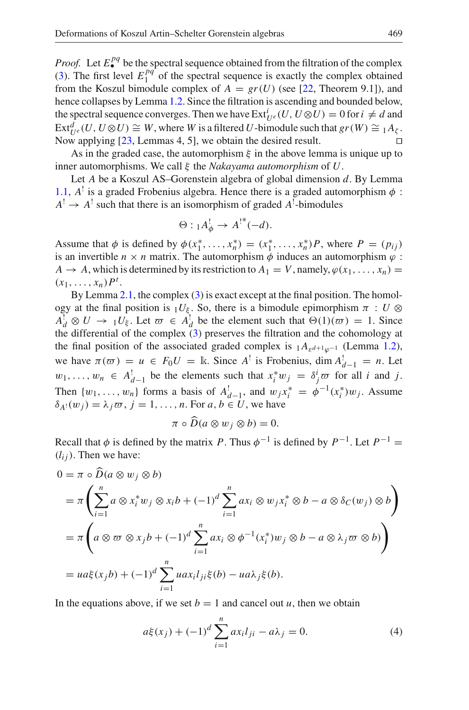*Proof.* Let  $E_{\bullet}^{pq}$  be the spectral sequence obtained from the filtration of the complex [\(3\)](#page-5-1). The first level  $E_1^{pq}$  of the spectral sequence is exactly the complex obtained from the Koszul bimodule complex of  $A = gr(U)$  (see [\[22,](#page-19-3) Theorem 9.1]), and hence collapses by Lemma [1.2.](#page-3-1) Since the filtration is ascending and bounded below, the spectral sequence converges. Then we have  $\text{Ext}^i_{U^e}(U, U \otimes U) = 0$  for  $i \neq d$  and  $Ext^d_{U^e}(U, U \otimes U) \cong W$ , where *W* is a filtered *U*-bimodule such that  $gr(W) \cong {}_1A_\zeta$ . Now applying  $[23,$  Lemmas 4, 5], we obtain the desired result.

As in the graded case, the automorphism  $\xi$  in the above lemma is unique up to inner automorphisms. We call ξ the *Nakayama automorphism* of *U*.

Let *A* be a Koszul AS–Gorenstein algebra of global dimension *d*. By Lemma [1.1,](#page-3-0)  $A^{\dagger}$  is a graded Frobenius algebra. Hence there is a graded automorphism  $\phi$ :  $A^! \rightarrow A^!$  such that there is an isomorphism of graded  $A^!$ -bimodules

$$
\Theta: {}_1A^!_{\phi} \to {A^!}^*(-d).
$$

Assume that  $\phi$  is defined by  $\phi(x_1^*, \ldots, x_n^*) = (x_1^*, \ldots, x_n^*)P$ , where  $P = (p_{ij})$ is an invertible  $n \times n$  matrix. The automorphism  $\phi$  induces an automorphism  $\varphi$ :  $A \rightarrow A$ , which is determined by its restriction to  $A_1 = V$ , namely,  $\varphi(x_1, \ldots, x_n) =$  $(x_1, ..., x_n)P^t$ .

By Lemma [2.1,](#page-5-2) the complex [\(3\)](#page-5-1) is exact except at the final position. The homology at the final position is  $_1U_{\xi}$ . So, there is a bimodule epimorphism  $\pi : U \otimes$  $A_d^! \otimes U \to 1 U_{\xi}$ . Let  $\overline{\omega} \in A_d^!$  be the element such that  $\Theta(1)(\overline{\omega}) = 1$ . Since the differential of the complex [\(3\)](#page-5-1) preserves the filtration and the cohomology at the final position of the associated graded complex is  $_1A_{\varepsilon^{d+1}\varphi^{-1}}$  (Lemma [1.2\)](#page-3-1), we have  $\pi(\varpi) = u \in F_0 U = \mathbb{k}$ . Since  $A^{\dagger}$  is Frobenius, dim  $A^{\dagger}_{d-1} = n$ . Let  $w_1, \ldots, w_n$  ∈  $A_{d-1}^!$  be the elements such that  $x_i^* w_j = \delta_j^i \overline{\sigma}$  for all *i* and *j*. Then  $\{w_1, \ldots, w_n\}$  forms a basis of  $A_{d-1}^!$ , and  $w_j x_i^* = \phi^{-1}(x_i^*) w_j$ . Assume  $\delta_{A}$ <sup>[</sup>(*w<sub>j</sub>*) =  $\lambda_j \varpi$ , *j* = 1, ..., *n*. For *a*, *b*  $\in U$ , we have

$$
\pi \circ \overline{D}(a \otimes w_j \otimes b) = 0.
$$

Recall that  $\phi$  is defined by the matrix *P*. Thus  $\phi^{-1}$  is defined by  $P^{-1}$ . Let  $P^{-1}$  =  $(l_{ij})$ . Then we have:

$$
0 = \pi \circ \widetilde{D}(a \otimes w_j \otimes b)
$$
  
=  $\pi \left( \sum_{i=1}^n a \otimes x_i^* w_j \otimes x_i b + (-1)^d \sum_{i=1}^n a x_i \otimes w_j x_i^* \otimes b - a \otimes \delta_C(w_j) \otimes b \right)$   
=  $\pi \left( a \otimes \sigma \otimes x_j b + (-1)^d \sum_{i=1}^n a x_i \otimes \phi^{-1}(x_i^*) w_j \otimes b - a \otimes \lambda_j \sigma \otimes b \right)$   
=  $u a \xi(x_j b) + (-1)^d \sum_{i=1}^n u a x_i l_{ji} \xi(b) - u a \lambda_j \xi(b).$ 

<span id="page-6-0"></span>In the equations above, if we set  $b = 1$  and cancel out *u*, then we obtain

$$
a\xi(x_j) + (-1)^d \sum_{i=1}^n a x_i l_{ji} - a\lambda_j = 0.
$$
 (4)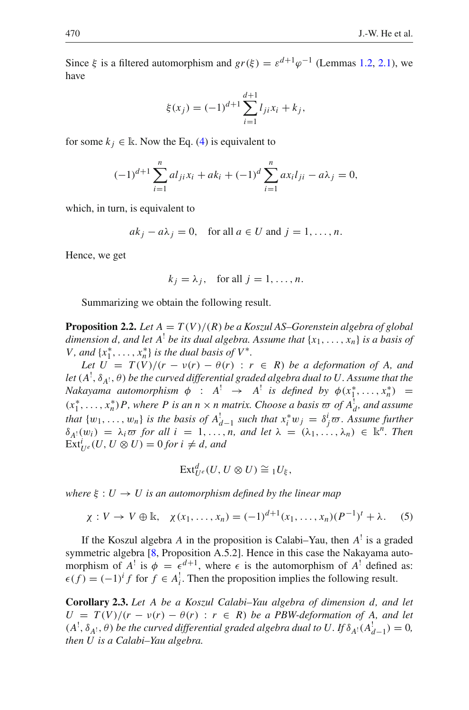Since  $\xi$  is a filtered automorphism and  $gr(\xi) = \varepsilon^{d+1} \varphi^{-1}$  (Lemmas [1.2,](#page-3-1) [2.1\)](#page-5-2), we have

$$
\xi(x_j) = (-1)^{d+1} \sum_{i=1}^{d+1} l_{ji} x_i + k_j,
$$

for some  $k_i \in \mathbb{R}$ . Now the Eq. [\(4\)](#page-6-0) is equivalent to

$$
(-1)^{d+1} \sum_{i=1}^{n} a l_{ji} x_i + a k_i + (-1)^d \sum_{i=1}^{n} a x_i l_{ji} - a \lambda_j = 0,
$$

which, in turn, is equivalent to

$$
ak_j - a\lambda_j = 0
$$
, for all  $a \in U$  and  $j = 1, ..., n$ .

Hence, we get

$$
k_j = \lambda_j
$$
, for all  $j = 1, ..., n$ .

Summarizing we obtain the following result.

<span id="page-7-0"></span>**Proposition 2.2.** Let  $A = T(V)/(R)$  be a Koszul AS–Gorenstein algebra of global *dimension d, and let*  $A^{\dagger}$  *be its dual algebra. Assume that*  $\{x_1, \ldots, x_n\}$  *is a basis of V*, and  $\{x_1^*, \ldots, x_n^*\}$  *is the dual basis of*  $V^*$ *.* 

*Let*  $U = T(V)/(r - v(r) - \theta(r) : r \in R)$  *be a deformation of A, and* let  $(A^{!},\delta_{A^{!}},\theta)$  be the curved differential graded algebra dual to  $U.$  Assume that the *Nakayama automorphism*  $\phi$  :  $A^! \rightarrow A^!$  *is defined by*  $\phi(x_1^*, \ldots, x_n^*)$  =  $(x_1^*, \ldots, x_n^*)$ *P*, where *P* is an  $n \times n$  matrix. Choose a basis  $\varpi$  of  $A_d^!$ , and assume *that*  $\{w_1, \ldots, w_n\}$  *is the basis of*  $A_{d-1}^!$  *such that*  $x_i^* w_j = \delta_j^i \varpi$ . Assume further  $\delta_{A}$ ! $(w_i) = \lambda_i \varpi$  for all  $i = 1, ..., n$ , and let  $\lambda = (\lambda_1, ..., \lambda_n) \in \mathbb{R}^n$ . Then  $\operatorname{Ext}^i_{U^e}(U, U \otimes U) = 0$  *for*  $i \neq d$ *, and* 

$$
\mathrm{Ext}^d_{U^e}(U, U \otimes U) \cong {}_1U_{\xi},
$$

<span id="page-7-1"></span>*where*  $\xi : U \to U$  *is an automorphism defined by the linear map* 

$$
\chi: V \to V \oplus \mathbb{k}, \quad \chi(x_1, \dots, x_n) = (-1)^{d+1}(x_1, \dots, x_n)(P^{-1})^t + \lambda. \tag{5}
$$

If the Koszul algebra *A* in the proposition is Calabi–Yau, then *A*! is a graded symmetric algebra [\[8,](#page-19-5) Proposition A.5.2]. Hence in this case the Nakayama automorphism of  $A^!$  is  $\phi = \epsilon^{d+1}$ , where  $\epsilon$  is the automorphism of  $A^!$  defined as:  $\epsilon(f) = (-1)^{i} f$  for  $f \in A_i^!$ . Then the proposition implies the following result.

<span id="page-7-2"></span>**Corollary 2.3.** *Let A be a Koszul Calabi–Yau algebra of dimension d, and let*  $U = T(V)/(r - v(r) - \theta(r) : r \in R)$  *be a PBW-deformation of A, and let*  $(A^!, \delta_{A^!}, \theta)$  *be the curved differential graded algebra dual to U. If*  $\delta_{A^!}(A^!_{d-1}) = 0$ , *then U is a Calabi–Yau algebra.*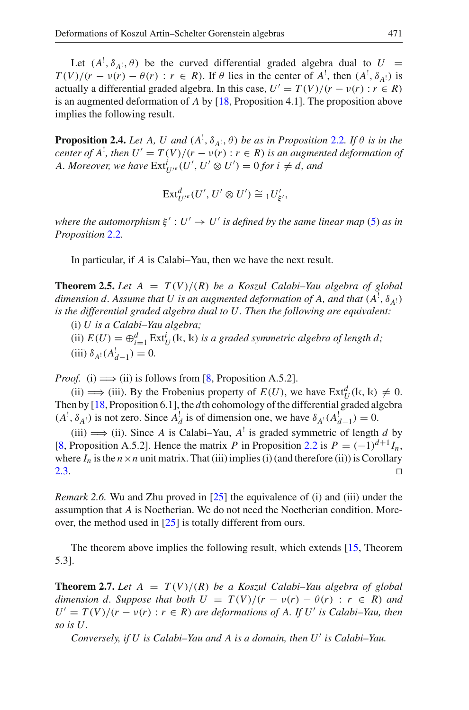Let  $(A^!, \delta_{A^!}, \theta)$  be the curved differential graded algebra dual to  $U =$  $T(V)/(r - v(r) - \theta(r) : r \in R)$ . If  $\theta$  lies in the center of  $A^!$ , then  $(A^!, \delta_{A^!})$  is actually a differential graded algebra. In this case,  $U' = T(V)/(r - v(r) : r \in R)$ is an augmented deformation of *A* by [\[18,](#page-19-11) Proposition 4.1]. The proposition above implies the following result.

<span id="page-8-2"></span>**Proposition 2.4.** *Let A, U and*  $(A^!, \delta_{A^!}, \theta)$  *be as in Proposition* [2.2](#page-7-0)*. If*  $\theta$  *is in the center of A*<sup> $'$ </sup>, *then*  $U' = T(V)/(r - v(r) : r \in R)$  *is an augmented deformation of A. Moreover, we have*  $\text{Ext}^i_{U'^e}(U', U' \otimes U') = 0$  for  $i \neq d$ , and

$$
\text{Ext}^d_{U'}(U',U'\otimes U')\cong {}_1U'_{\xi'},
$$

*where the automorphism*  $\xi' : U' \to U'$  *is defined by the same linear map* [\(5\)](#page-7-1) *as in Proposition* [2.2](#page-7-0)*.*

In particular, if *A* is Calabi–Yau, then we have the next result.

<span id="page-8-0"></span>**Theorem 2.5.** Let  $A = T(V)/(R)$  be a Koszul Calabi–Yau algebra of global dimension  $d$ . Assume that  $U$  is an augmented deformation of  $A$ , and that  $(A^!, \delta_{A^!})$ *is the differential graded algebra dual to U. Then the following are equivalent:*

(i) *U is a Calabi–Yau algebra;*

(ii)  $E(U) = \bigoplus_{i=1}^d \text{Ext}^i_U(\mathbb{k}, \mathbb{k})$  *is a graded symmetric algebra of length d*;  $(iii) \delta_{A} (A_{d-1}^!) = 0.$ 

*Proof.* (i)  $\implies$  (ii) is follows from [\[8](#page-19-5), Proposition A.5.2].

(ii)  $\implies$  (iii). By the Frobenius property of  $E(U)$ , we have  $\text{Ext}^d_U(\mathbb{k}, \mathbb{k}) \neq 0$ . Then by [\[18](#page-19-11), Proposition 6.1], the *d*th cohomology of the differential graded algebra  $(A^!, \delta_{A^!})$  is not zero. Since  $A_d^!$  is of dimension one, we have  $\delta_{A^!}(A_{d-1}^!)=0$ .

(iii)  $\implies$  (ii). Since *A* is Calabi–Yau, *A*<sup>!</sup> is graded symmetric of length *d* by [\[8,](#page-19-5) Proposition A.5.2]. Hence the matrix *P* in Proposition [2.2](#page-7-0) is  $P = (-1)^{d+1} I_n$ , where  $I_n$  is the  $n \times n$  unit matrix. That (iii) implies (i) (and therefore (ii)) is Corollary [2.3.](#page-7-2)  $\Box$ 

*Remark 2.6.* Wu and Zhu proved in [\[25\]](#page-20-0) the equivalence of (i) and (iii) under the assumption that *A* is Noetherian. We do not need the Noetherian condition. Moreover, the method used in [\[25\]](#page-20-0) is totally different from ours.

<span id="page-8-1"></span>The theorem above implies the following result, which extends [\[15](#page-19-6), Theorem 5.3].

**Theorem 2.7.** Let  $A = T(V)/(R)$  be a Koszul Calabi–Yau algebra of global *dimension d. Suppose that both*  $U = T(V)/(r - v(r) - \theta(r) : r \in R)$  *and*  $U' = T(V)/(r - v(r) : r \in R)$  *are deformations of A. If U' is Calabi–Yau, then so is U.*

*Conversely, if U is Calabi–Yau and A is a domain, then U is Calabi–Yau.*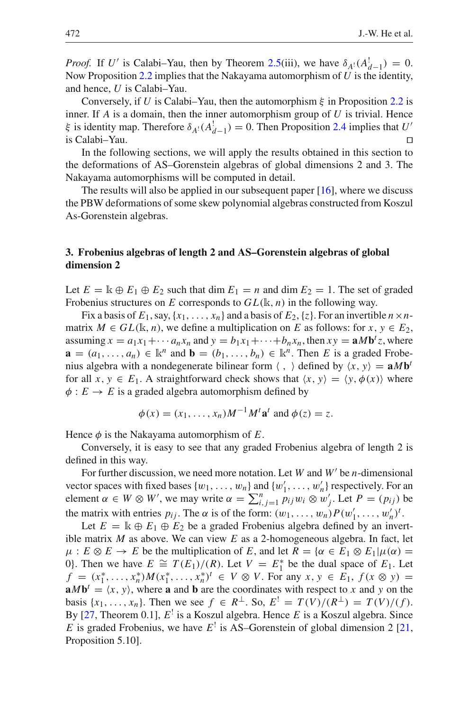*Proof.* If *U'* is Calabi–Yau, then by Theorem [2.5\(](#page-8-0)iii), we have  $\delta_{A}$ ! $(A_{d-1}^!) = 0$ . Now Proposition [2.2](#page-7-0) implies that the Nakayama automorphism of *U* is the identity, and hence, *U* is Calabi–Yau.

Conversely, if *U* is Calabi–Yau, then the automorphism  $\xi$  in Proposition [2.2](#page-7-0) is inner. If *A* is a domain, then the inner automorphism group of *U* is trivial. Hence ξ is identity map. Therefore  $\delta_{A}$ <sup>1</sup>( $A_{d-1}$ ) = 0. Then Proposition [2.4](#page-8-2) implies that *U*<sup>*'*</sup> is Calabi–Yau.

In the following sections, we will apply the results obtained in this section to the deformations of AS–Gorenstein algebras of global dimensions 2 and 3. The Nakayama automorphisms will be computed in detail.

The results will also be applied in our subsequent paper [\[16](#page-19-0)], where we discuss the PBW deformations of some skew polynomial algebras constructed from Koszul As-Gorenstein algebras.

## <span id="page-9-0"></span>**3. Frobenius algebras of length 2 and AS–Gorenstein algebras of global dimension 2**

Let  $E = \mathbb{k} \oplus E_1 \oplus E_2$  such that dim  $E_1 = n$  and dim  $E_2 = 1$ . The set of graded Frobenius structures on *E* corresponds to *GL*(k, *n*) in the following way.

Fix a basis of  $E_1$ , say,  $\{x_1, \ldots, x_n\}$  and a basis of  $E_2$ ,  $\{z\}$ . For an invertible  $n \times n$ matrix  $M \in GL(\mathbb{k}, n)$ , we define a multiplication on *E* as follows: for  $x, y \in E_2$ , assuming  $x = a_1x_1 + \cdots + a_nx_n$  and  $y = b_1x_1 + \cdots + b_nx_n$ , then  $xy = aMb^t z$ , where  $\mathbf{a} = (a_1, \ldots, a_n) \in \mathbb{k}^n$  and  $\mathbf{b} = (b_1, \ldots, b_n) \in \mathbb{k}^n$ . Then *E* is a graded Frobenius algebra with a nondegenerate bilinear form  $\langle , \rangle$  defined by  $\langle x, y \rangle = aMb^t$ for all  $x, y \in E_1$ . A straightforward check shows that  $\langle x, y \rangle = \langle y, \phi(x) \rangle$  where  $\phi$ :  $E \rightarrow E$  is a graded algebra automorphism defined by

$$
\phi(x) = (x_1, \dots, x_n)M^{-1}M^t \mathbf{a}^t \text{ and } \phi(z) = z.
$$

Hence  $\phi$  is the Nakayama automorphism of  $E$ .

Conversely, it is easy to see that any graded Frobenius algebra of length 2 is defined in this way.

For further discussion, we need more notation. Let *W* and *W'* be *n*-dimensional vector spaces with fixed bases  $\{w_1, \ldots, w_n\}$  and  $\{w'_1, \ldots, w'_n\}$  respectively. For an element  $\alpha \in W \otimes W'$ , we may write  $\alpha = \sum_{i,j=1}^{n} p_{ij} w_i \otimes w'_{j'}$ . Let  $P = (p_{ij})$  be the matrix with entries  $p_{ij}$ . The  $\alpha$  is of the form:  $(w_1, \ldots, w_n) P(w'_1, \ldots, w'_n)^t$ .

Let  $E = \mathbb{k} \oplus E_1 \oplus E_2$  be a graded Frobenius algebra defined by an invertible matrix *M* as above. We can view *E* as a 2-homogeneous algebra. In fact, let  $\mu: E \otimes E \to E$  be the multiplication of *E*, and let  $R = {\alpha \in E_1 \otimes E_1 | \mu(\alpha)}$ 0}. Then we have  $E \cong T(E_1)/(R)$ . Let  $V = E_1^*$  be the dual space of  $E_1$ . Let  $f = (x_1^*, \ldots, x_n^*) M(x_1^*, \ldots, x_n^*)^t \in V \otimes V$ . For any  $x, y \in E_1$ ,  $f(x \otimes y) =$  $\mathbf{a}M\mathbf{b}^t = \langle x, y \rangle$ , where **a** and **b** are the coordinates with respect to *x* and *y* on the basis  $\{x_1, \ldots, x_n\}$ . Then we see  $f \in R^{\perp}$ . So,  $E' = T(V)/(R^{\perp}) = T(V)/(f)$ . By [\[27,](#page-20-2) Theorem 0.1], *E*! is a Koszul algebra. Hence *E* is a Koszul algebra. Since *E* is graded Frobenius, we have  $E^{\dagger}$  is AS–Gorenstein of global dimension 2 [\[21,](#page-19-16) Proposition 5.10].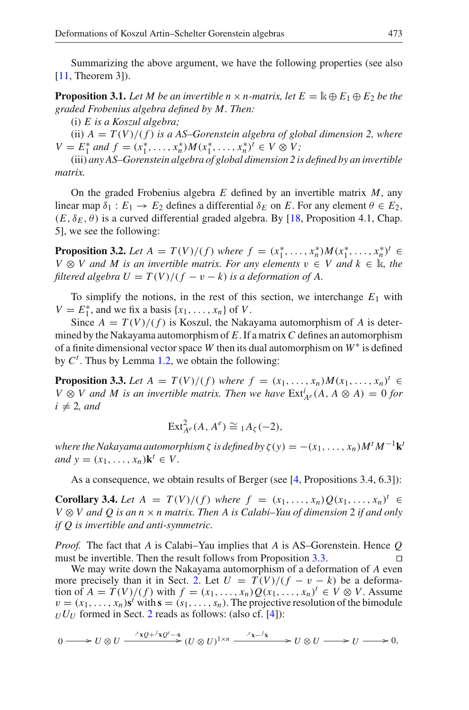Summarizing the above argument, we have the following properties (see also [\[11,](#page-19-2) Theorem 3]).

**Proposition 3.1.** Let M be an invertible  $n \times n$ -matrix, let  $E = \mathbb{k} \oplus E_1 \oplus E_2$  be the *graded Frobenius algebra defined by M. Then:*

(i) *E is a Koszul algebra;*

(ii)  $A = T(V)/(f)$  *is a AS–Gorenstein algebra of global dimension 2, where*  $V = E_1^*$  *and*  $f = (x_1^*, \ldots, x_n^*) M (x_1^*, \ldots, x_n^*)^t \in V \otimes V$ ;

(iii) *any AS–Gorenstein algebra of global dimension 2 is defined by an invertible matrix.*

On the graded Frobenius algebra *E* defined by an invertible matrix *M*, any linear map  $\delta_1 : E_1 \to E_2$  defines a differential  $\delta_E$  on *E*. For any element  $\theta \in E_2$ ,  $(E, \delta_E, \theta)$  is a curved differential graded algebra. By [\[18,](#page-19-11) Proposition 4.1, Chap. 5], we see the following:

**Proposition 3.2.** Let  $A = T(V)/(f)$  where  $f = (x_1^*, \ldots, x_n^*)M(x_1^*, \ldots, x_n^*)^t \in$ *V* ⊗ *V* and *M* is an invertible matrix. For any elements  $v \in V$  and  $k \in \mathbb{R}$ , the *filtered algebra*  $U = T(V)/(f - v - k)$  *is a deformation of A.* 

To simplify the notions, in the rest of this section, we interchange  $E_1$  with *V* =  $E_1^*$ , and we fix a basis {*x*<sub>1</sub>, ..., *x<sub>n</sub>*} of *V*.

Since  $A = T(V)/(f)$  is Koszul, the Nakayama automorphism of A is determined by the Nakayama automorphism of *E*. If a matrix*C* defines an automorphism of a finite dimensional vector space *W* then its dual automorphism on *W*<sup>∗</sup> is defined by  $C<sup>t</sup>$ . Thus by Lemma [1.2,](#page-3-1) we obtain the following:

<span id="page-10-0"></span>**Proposition 3.3.** *Let A* = *T*(*V*)/(*f*) *where f* = (*x*<sub>1</sub>, ..., *x<sub>n</sub>*)*M*(*x*<sub>1</sub>, ..., *x<sub>n</sub>*)<sup>*t*</sup> ∈ *V* ⊗ *V* and *M* is an invertible matrix. Then we have  $\text{Ext}_{A^e}^i(A, A \otimes A) = 0$  *for*  $i \neq 2$ , and

$$
\operatorname{Ext}_{A^e}^2(A, A^e) \cong {}_1A_\zeta(-2),
$$

*where the Nakayama automorphism*  $\zeta$  *is defined by*  $\zeta(y) = -(x_1, \ldots, x_n)M^tM^{-1}k^t$ *and*  $y = (x_1, \ldots, x_n)$ **k**<sup>*t*</sup>  $\in V$ .

As a consequence, we obtain results of Berger (see [\[4](#page-19-7), Propositions 3.4, 6.3]):

**Corollary 3.4.** *Let A* = *T*(*V*)/(*f*) *where f* = (*x*<sub>1</sub>, ..., *x<sub>n</sub>*)*Q*(*x*<sub>1</sub>, ..., *x<sub>n</sub>*)<sup>*t*</sup> ∈ *V* ⊗ *V and Q is an n* × *n matrix. Then A is Calabi–Yau of dimension* 2 *if and only if Q is invertible and anti-symmetric.*

*Proof.* The fact that *A* is Calabi–Yau implies that *A* is AS–Gorenstein. Hence *Q* must be invertible. Then the result follows from Proposition [3.3.](#page-10-0)

We may write down the Nakayama automorphism of a deformation of *A* even more precisely than it in Sect. [2.](#page-4-0) Let  $U = T(V)/(f - v - k)$  be a deformation of  $A = T(V)/(f)$  with  $f = (x_1, \ldots, x_n)Q(x_1, \ldots, x_n)^t \in V \otimes V$ . Assume  $v = (x_1, \ldots, x_n)$ **s**<sup>*t*</sup> with **s** =  $(s_1, \ldots, s_n)$ . The projective resolution of the bimodule  $U U$  formed in Sect. [2](#page-4-0) reads as follows: (also cf. [\[4\]](#page-19-7)):

$$
0 \longrightarrow U \otimes U \xrightarrow{\phantom{U} \mathcal{N}Q + \mathcal{N}Q' - s} (U \otimes U)^{1 \times n} \xrightarrow{\phantom{U} \mathcal{N}A - \mathcal{N} \\ \times \mathcal{N} \longrightarrow U \otimes U \longrightarrow U \longrightarrow 0,
$$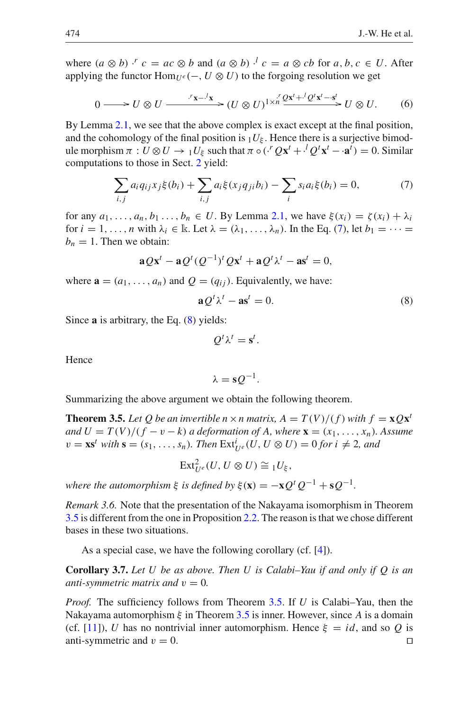where  $(a \otimes b)$  ·<sup>*r*</sup>  $c = ac \otimes b$  and  $(a \otimes b)$  ·<sup>*l*</sup>  $c = a \otimes cb$  for  $a, b, c \in U$ . After applying the functor  $\text{Hom}_{U^e}(-, U \otimes U)$  to the forgoing resolution we get

$$
0 \longrightarrow U \otimes U \longrightarrow^{r_{\mathbf{X}-}l_{\mathbf{X}}} (U \otimes U)^{1 \times n} \xrightarrow{r'} \mathcal{Q}^{\mathbf{x}^t + \cdot l} \mathcal{Q}^t \mathbf{x}^t - \mathbf{s}^t \longrightarrow U \otimes U. \tag{6}
$$

By Lemma [2.1,](#page-5-2) we see that the above complex is exact except at the final position, and the cohomology of the final position is  $_1U_{\xi}$ . Hence there is a surjective bimodule morphism  $\pi: U \otimes U \to {}_1U_{\xi}$  such that  $\pi \circ (H^r Q x^t + H^l Q^t x^t - a^t) = 0$ . Similar computations to those in Sect. [2](#page-4-0) yield:

$$
\sum_{i,j} a_i q_{ij} x_j \xi(b_i) + \sum_{i,j} a_i \xi(x_j q_{ji} b_i) - \sum_i s_i a_i \xi(b_i) = 0,
$$
 (7)

<span id="page-11-1"></span>for any  $a_1, \ldots, a_n, b_1 \ldots, b_n \in U$ . By Lemma [2.1,](#page-5-2) we have  $\xi(x_i) = \zeta(x_i) + \lambda_i$ for  $i = 1, \ldots, n$  with  $\lambda_i \in \mathbb{R}$ . Let  $\lambda = (\lambda_1, \ldots, \lambda_n)$ . In the Eq. [\(7\)](#page-11-1), let  $b_1 = \cdots =$  $b_n = 1$ . Then we obtain:

$$
\mathbf{a} Q \mathbf{x}^t - \mathbf{a} Q^t (Q^{-1})^t Q \mathbf{x}^t + \mathbf{a} Q^t \lambda^t - \mathbf{a} \mathbf{s}^t = 0,
$$

<span id="page-11-2"></span>where  $\mathbf{a} = (a_1, \ldots, a_n)$  and  $Q = (q_{ij})$ . Equivalently, we have:

$$
\mathbf{a}\mathcal{Q}^t\lambda^t - \mathbf{a}\mathbf{s}^t = 0. \tag{8}
$$

Since **a** is arbitrary, the Eq. [\(8\)](#page-11-2) yields:

$$
Q^t\lambda^t=\mathbf{s}^t.
$$

Hence

$$
\lambda = s Q^{-1}.
$$

<span id="page-11-0"></span>Summarizing the above argument we obtain the following theorem.

**Theorem 3.5.** Let Q be an invertible  $n \times n$  matrix,  $A = T(V)/(f)$  with  $f = xQx^t$ *and*  $U = T(V)/(f - v - k)$  *a deformation of A, where*  $\mathbf{x} = (x_1, \ldots, x_n)$ *. Assume*  $v = \mathbf{x} \mathbf{s}^t$  *with*  $\mathbf{s} = (s_1, \ldots, s_n)$ *. Then*  $\mathrm{Ext}^i_{U^e}(U, U \otimes U) = 0$  *for*  $i \neq 2$ *, and* 

$$
\mathrm{Ext}^2_{U^e}(U, U \otimes U) \cong {}_1U_{\xi},
$$

*where the automorphism*  $\xi$  *is defined by*  $\xi(\mathbf{x}) = -\mathbf{x}Q^tQ^{-1} + \mathbf{s}Q^{-1}$ .

*Remark 3.6.* Note that the presentation of the Nakayama isomorphism in Theorem [3.5](#page-11-0) is different from the one in Proposition [2.2.](#page-7-0) The reason is that we chose different bases in these two situations.

As a special case, we have the following corollary (cf. [\[4\]](#page-19-7)).

**Corollary 3.7.** *Let U be as above. Then U is Calabi–Yau if and only if Q is an anti-symmetric matrix and*  $v = 0$ *.* 

*Proof.* The sufficiency follows from Theorem [3.5.](#page-11-0) If *U* is Calabi–Yau, then the Nakayama automorphism  $\xi$  in Theorem [3.5](#page-11-0) is inner. However, since A is a domain (cf. [\[11\]](#page-19-2)), *U* has no nontrivial inner automorphism. Hence  $\xi = id$ , and so *Q* is anti-symmetric and  $v = 0$ .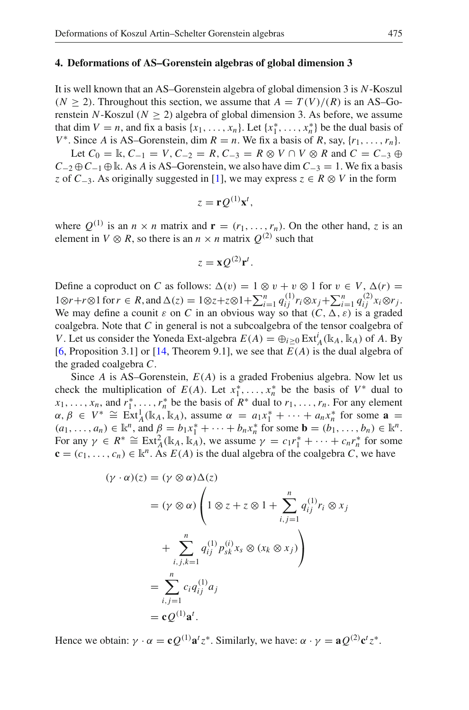#### <span id="page-12-0"></span>**4. Deformations of AS–Gorenstein algebras of global dimension 3**

It is well known that an AS–Gorenstein algebra of global dimension 3 is *N*-Koszul  $(N \ge 2)$ . Throughout this section, we assume that  $A = T(V)/(R)$  is an AS–Gorenstein *N*-Koszul ( $N \ge 2$ ) algebra of global dimension 3. As before, we assume that dim  $V = n$ , and fix a basis  $\{x_1, \ldots, x_n\}$ . Let  $\{x_1^*, \ldots, x_n^*\}$  be the dual basis of *V*<sup>\*</sup>. Since *A* is AS–Gorenstein, dim  $R = n$ . We fix a basis of *R*, say,  $\{r_1, \ldots, r_n\}$ .

Let  $C_0 = \mathbb{k}$ ,  $C_{-1} = V$ ,  $C_{-2} = R$ ,  $C_{-3} = R \otimes V \cap V \otimes R$  and  $C = C_{-3} \oplus$  $C_{-2} \oplus C_{-1} \oplus \mathbb{k}$ . As *A* is AS–Gorenstein, we also have dim  $C_{-3} = 1$ . We fix a basis *z* of *C*−3. As originally suggested in [\[1\]](#page-19-22), we may express *z* ∈ *R* ⊗ *V* in the form

$$
z = \mathbf{r} Q^{(1)} \mathbf{x}^t,
$$

where  $Q^{(1)}$  is an  $n \times n$  matrix and  $\mathbf{r} = (r_1, \ldots, r_n)$ . On the other hand, *z* is an element in  $V \otimes R$ , so there is an  $n \times n$  matrix  $Q^{(2)}$  such that

$$
z = \mathbf{x} Q^{(2)} \mathbf{r}^t.
$$

Define a coproduct on *C* as follows:  $\Delta(v) = 1 \otimes v + v \otimes 1$  for  $v \in V$ ,  $\Delta(r) =$ 1⊗*r*+*r*⊗1 for *r* ∈ *R*, and  $\Delta(z) = 1 ⊗ z + z ⊗ 1 + \sum_{i=1}^{n} q_{ij}^{(1)} r_i ⊗ x_j + \sum_{i=1}^{n} q_{ij}^{(2)} x_i ⊗ r_j$ . We may define a counit  $\varepsilon$  on *C* in an obvious way so that  $(C, \Delta, \varepsilon)$  is a graded coalgebra. Note that *C* in general is not a subcoalgebra of the tensor coalgebra of *V*. Let us consider the Yoneda Ext-algebra  $E(A) = \bigoplus_{i \geq 0} \text{Ext}_{A}^{i}(\mathbb{k}_{A}, \mathbb{k}_{A})$  of *A*. By [\[6,](#page-19-4) Proposition 3.1] or [\[14](#page-19-12), Theorem 9.1], we see that *E*(*A*) is the dual algebra of the graded coalgebra *C*.

Since *A* is AS–Gorenstein, *E*(*A*) is a graded Frobenius algebra. Now let us check the multiplication of  $E(A)$ . Let  $x_1^*, \ldots, x_n^*$  be the basis of  $V^*$  dual to  $x_1, \ldots, x_n$ , and  $r_1^*, \ldots, r_n^*$  be the basis of  $R^*$  dual to  $r_1, \ldots, r_n$ . For any element  $\alpha, \beta \in V^* \cong \text{Ext}^1_A(\mathbb{k}_A, \mathbb{k}_A)$ , assume  $\alpha = a_1 x_1^* + \cdots + a_n x_n^*$  for some  $\mathbf{a} =$  $(a_1, \ldots, a_n) \in \mathbb{R}^n$ , and  $\beta = b_1 x_1^* + \cdots + b_n x_n^*$  for some  $\mathbf{b} = (b_1, \ldots, b_n) \in \mathbb{R}^n$ . For any  $\gamma \in R^* \cong \text{Ext}^2_A(\mathbb{k}_A, \mathbb{k}_A)$ , we assume  $\gamma = c_1 r_1^* + \cdots + c_n r_n^*$  for some  ${\bf c} = (c_1, \ldots, c_n) \in \mathbb{R}^n$ . As  $E(A)$  is the dual algebra of the coalgebra *C*, we have

$$
(\gamma \cdot \alpha)(z) = (\gamma \otimes \alpha) \Delta(z)
$$
  
\n
$$
= (\gamma \otimes \alpha) \left(1 \otimes z + z \otimes 1 + \sum_{i,j=1}^{n} q_{ij}^{(1)} r_i \otimes x_j + \sum_{i,j,k=1}^{n} q_{ij}^{(1)} p_{sk}^{(i)} x_s \otimes (x_k \otimes x_j)\right)
$$
  
\n
$$
= \sum_{i,j=1}^{n} c_i q_{ij}^{(1)} a_j
$$
  
\n
$$
= \mathbf{c} \mathcal{Q}^{(1)} \mathbf{a}^i.
$$

Hence we obtain:  $\gamma \cdot \alpha = \mathbf{c} \mathcal{Q}^{(1)} \mathbf{a}^t z^*$ . Similarly, we have:  $\alpha \cdot \gamma = \mathbf{a} \mathcal{Q}^{(2)} \mathbf{c}^t z^*$ .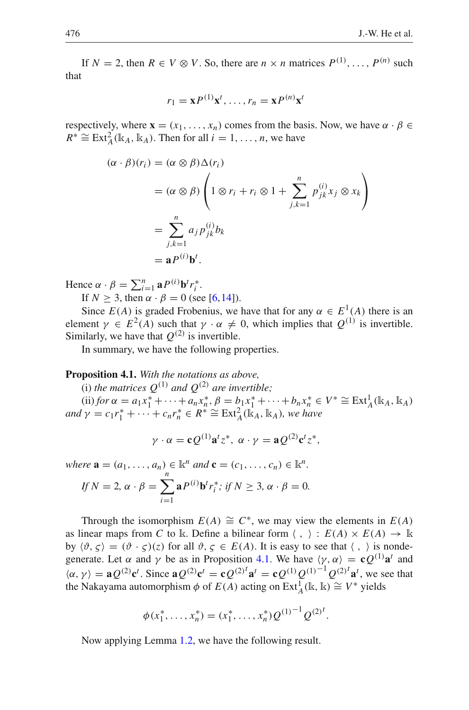If  $N = 2$ , then  $R \in V \otimes V$ . So, there are  $n \times n$  matrices  $P^{(1)}$ , ...,  $P^{(n)}$  such that

$$
r_1 = \mathbf{x} P^{(1)} \mathbf{x}^t, \dots, r_n = \mathbf{x} P^{(n)} \mathbf{x}^t
$$

respectively, where  $\mathbf{x} = (x_1, \dots, x_n)$  comes from the basis. Now, we have  $\alpha \cdot \beta \in$  $R^* \cong \text{Ext}_{A}^{2}(\mathbb{k}_A, \mathbb{k}_A)$ . Then for all  $i = 1, \ldots, n$ , we have

$$
(\alpha \cdot \beta)(r_i) = (\alpha \otimes \beta) \Delta(r_i)
$$
  
=  $(\alpha \otimes \beta) \left(1 \otimes r_i + r_i \otimes 1 + \sum_{j,k=1}^n p_{jk}^{(i)} x_j \otimes x_k\right)$   
=  $\sum_{j,k=1}^n a_j p_{jk}^{(i)} b_k$   
=  $\mathbf{a} P^{(i)} \mathbf{b}^t$ .

Hence  $\alpha \cdot \beta = \sum_{i=1}^n \mathbf{a} P^{(i)} \mathbf{b}^t r_i^*$ . If  $N \ge 3$ , then  $\alpha \cdot \beta = 0$  (see [\[6](#page-19-4), 14]).

Since  $E(A)$  is graded Frobenius, we have that for any  $\alpha \in E^1(A)$  there is an element  $\gamma \in E^2(A)$  such that  $\gamma \cdot \alpha \neq 0$ , which implies that  $Q^{(1)}$  is invertible. Similarly, we have that  $Q^{(2)}$  is invertible.

In summary, we have the following properties.

<span id="page-13-0"></span>**Proposition 4.1.** *With the notations as above,*

(i) *the matrices*  $Q^{(1)}$  *and*  $Q^{(2)}$  *are invertible;* 

(ii) *for* α = *a*1*x*<sup>∗</sup> <sup>1</sup> +···+*an <sup>x</sup>*<sup>∗</sup> *<sup>n</sup>* , β <sup>=</sup> *<sup>b</sup>*1*x*<sup>∗</sup> <sup>1</sup> +···+*bn <sup>x</sup>*<sup>∗</sup> *<sup>n</sup>* <sup>∈</sup> *<sup>V</sup>*<sup>∗</sup> ∼= Ext<sup>1</sup> *<sup>A</sup>*(k*A*, <sup>k</sup>*A*) *and*  $\gamma = c_1 r_1^* + \cdots + c_n r_n^* \in R^* \cong \text{Ext}_{A}^{2}(\mathbb{k}_A, \mathbb{k}_A)$ *, we have* 

$$
\gamma \cdot \alpha = \mathbf{c} Q^{(1)} \mathbf{a}^t z^*, \ \alpha \cdot \gamma = \mathbf{a} Q^{(2)} \mathbf{c}^t z^*,
$$

*where*  $\mathbf{a} = (a_1, \ldots, a_n) \in \mathbb{R}^n$  *and*  $\mathbf{c} = (c_1, \ldots, c_n) \in \mathbb{R}^n$ . *If*  $N = 2$ ,  $\alpha \cdot \beta = \sum$ *n i*=1 **a**<sup>*P*(*i*)</sup>**b**<sup>*t*</sup>*r*<sub>*i*</sub><sup>\*</sup>; *if N*  $\geq$  3,  $\alpha \cdot \beta = 0$ .

Through the isomorphism  $E(A) \cong C^*$ , we may view the elements in  $E(A)$ as linear maps from *C* to k. Define a bilinear form  $\langle , \rangle : E(A) \times E(A) \rightarrow \mathbb{k}$ by  $\langle \vartheta, \varsigma \rangle = (\vartheta \cdot \varsigma)(\varsigma)$  for all  $\vartheta, \varsigma \in E(A)$ . It is easy to see that  $\langle , \rangle$  is nondegenerate. Let  $\alpha$  and  $\gamma$  be as in Proposition [4.1.](#page-13-0) We have  $\langle \gamma, \alpha \rangle = \mathbf{c} \mathcal{Q}^{(1)} \mathbf{a}^t$  and  $\langle \alpha, \gamma \rangle = aQ^{(2)}c^t$ . Since  $aQ^{(2)}c^t = cQ^{(2)}^t a^t = cQ^{(1)}Q^{(1)}^{-1}Q^{(2)}^t a^t$ , we see that the Nakayama automorphism  $\phi$  of  $E(\overline{A})$  acting on  $\text{Ext}_{\overline{A}}^{\overline{A}}(\mathbb{k}, \mathbb{k}) \cong V^*$  yields

<span id="page-13-1"></span>
$$
\phi(x_1^*, \ldots, x_n^*) = (x_1^*, \ldots, x_n^*) Q^{(1)}^{-1} Q^{(2)^t}.
$$

Now applying Lemma [1.2,](#page-3-1) we have the following result.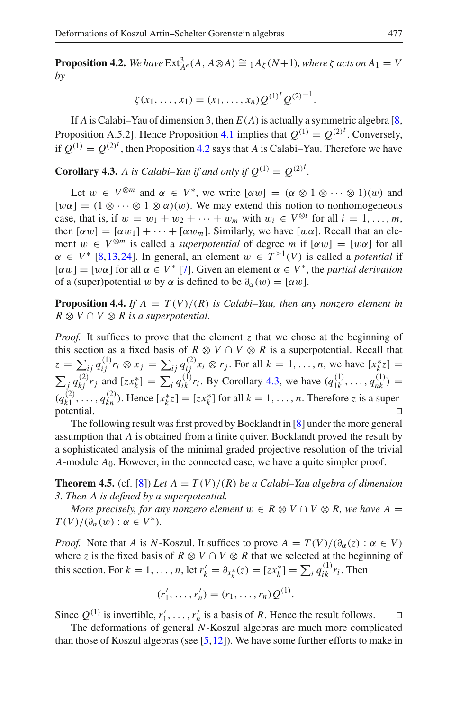**Proposition 4.2.** We have  $\text{Ext}_{A^e}^3(A, A \otimes A) \cong {}_1A_\zeta(N+1)$ , where  $\zeta$  acts on  $A_1 = V$ *by*

$$
\zeta(x_1,\ldots,x_1)=(x_1,\ldots,x_n)Q^{(1)^t}Q^{(2)^{-1}}.
$$

If *A* is Calabi–Yau of dimension 3, then  $E(A)$  is actually a symmetric algebra [\[8,](#page-19-5) Proposition A.5.2]. Hence Proposition [4.1](#page-13-0) implies that  $Q^{(1)} = Q^{(2)^t}$ . Conversely, if  $Q^{(1)} = Q^{(2)^t}$ , then Proposition [4.2](#page-13-1) says that *A* is Calabi–Yau. Therefore we have

<span id="page-14-0"></span>**Corollary 4.3.** A is Calabi–Yau if and only if  $Q^{(1)} = Q^{(2)^t}$ .

Let  $w \in V^{\otimes m}$  and  $\alpha \in V^*$ , we write  $[\alpha w] = (\alpha \otimes 1 \otimes \cdots \otimes 1)(w)$  and  $[w\alpha] = (1 \otimes \cdots \otimes 1 \otimes \alpha)(w)$ . We may extend this notion to nonhomogeneous case, that is, if  $w = w_1 + w_2 + \cdots + w_m$  with  $w_i \in V^{\otimes i}$  for all  $i = 1, \ldots, m$ , then  $[\alpha w] = [\alpha w_1] + \cdots + [\alpha w_m]$ . Similarly, we have  $[w\alpha]$ . Recall that an element  $w \in V^{\otimes m}$  is called a *superpotential* of degree *m* if  $[\alpha w] = [w\alpha]$  for all  $\alpha \in V^*$  [\[8](#page-19-5)[,13](#page-19-18),[24\]](#page-19-23). In general, an element  $w \in T^{\geq 1}(V)$  is called a *potential* if  $[\alpha w] = [w\alpha]$  for all  $\alpha \in V^*$  [\[7\]](#page-19-19). Given an element  $\alpha \in V^*$ , the *partial derivation* of a (super)potential w by  $\alpha$  is defined to be  $\partial_{\alpha}(w) = [\alpha w]$ .

**Proposition 4.4.** *If*  $A = T(V)/(R)$  *is Calabi–Yau, then any nonzero element in*  $R \otimes V \cap V \otimes R$  *is a superpotential.* 

*Proof.* It suffices to prove that the element *z* that we chose at the beginning of this section as a fixed basis of  $R \otimes V \cap V \otimes R$  is a superpotential. Recall that  $z = \sum_{ij} q_{ij}^{(1)} r_i \otimes x_j = \sum_{ij} q_{ij}^{(2)} x_i \otimes r_j$ . For all  $k = 1, ..., n$ , we have  $[x_k^* z] =$  $\sum_{j} q_{kj}^{(2)} r_j$  and  $[zx_k^*] = \sum_{i} q_{ik}^{(1)} r_i$ . By Corollary [4.3,](#page-14-0) we have  $(q_{1k}^{(1)}, \ldots, q_{nk}^{(1)}) =$  $(q_{k1}^{(2)}, \ldots, q_{kn}^{(2)})$ . Hence  $[x_k^* z] = [zx_k^*]$  for all  $k = 1, \ldots, n$ . Therefore *z* is a superpotential.

The following result was first proved by Bocklandt in [\[8\]](#page-19-5) under the more general assumption that *A* is obtained from a finite quiver. Bocklandt proved the result by a sophisticated analysis of the minimal graded projective resolution of the trivial *A*-module *A*0. However, in the connected case, we have a quite simpler proof.

**Theorem 4.5.** (cf. [\[8\]](#page-19-5)) Let  $A = T(V)/(R)$  be a Calabi–Yau algebra of dimension *3. Then A is defined by a superpotential.*

*More precisely, for any nonzero element*  $w \in R \otimes V \cap V \otimes R$ , we have  $A =$  $T(V)/(\partial_{\alpha}(w) : \alpha \in V^*).$ 

*Proof.* Note that *A* is *N*-Koszul. It suffices to prove  $A = T(V)/(\partial_{\alpha}(z) : \alpha \in V)$ where *z* is the fixed basis of  $R \otimes V \cap V \otimes R$  that we selected at the beginning of this section. For  $k = 1, ..., n$ , let  $r'_k = \partial_{x_k^*}(z) = [zx_k^*] = \sum_i q_{ik}^{(1)} r_i$ . Then

$$
(r'_1, \ldots, r'_n) = (r_1, \ldots, r_n) Q^{(1)}.
$$

Since  $Q^{(1)}$  is invertible,  $r'_1, \ldots, r'_n$  is a basis of *R*. Hence the result follows.  $\Box$ 

The deformations of general *N*-Koszul algebras are much more complicated than those of Koszul algebras (see  $[5,12]$  $[5,12]$  $[5,12]$ ). We have some further efforts to make in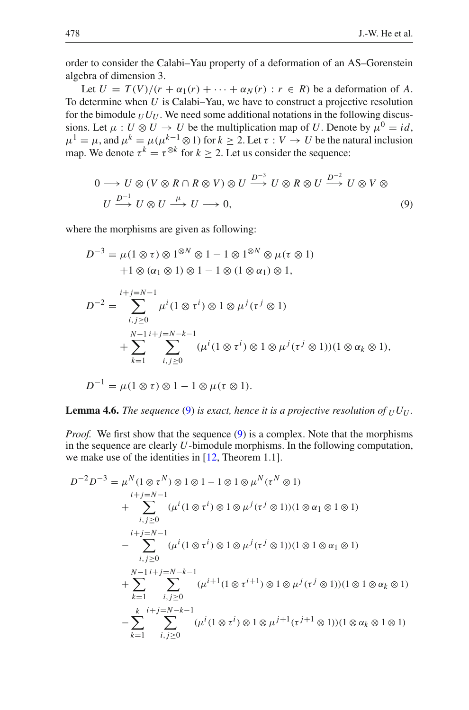order to consider the Calabi–Yau property of a deformation of an AS–Gorenstein algebra of dimension 3.

Let  $U = T(V)/(r + \alpha_1(r) + \cdots + \alpha_N(r) : r \in R)$  be a deformation of A. To determine when *U* is Calabi–Yau, we have to construct a projective resolution for the bimodule  $U U$ . We need some additional notations in the following discussions. Let  $\mu : U \otimes U \to U$  be the multiplication map of *U*. Denote by  $\mu^0 = id$ ,  $\mu^{1} = \mu$ , and  $\mu^{k} = \mu(\mu^{k-1} \otimes 1)$  for  $k \geq 2$ . Let  $\tau : V \to U$  be the natural inclusion map. We denote  $\tau^k = \tau^{\otimes k}$  for  $k > 2$ . Let us consider the sequence:

$$
0 \longrightarrow U \otimes (V \otimes R \cap R \otimes V) \otimes U \stackrel{D^{-3}}{\longrightarrow} U \otimes R \otimes U \stackrel{D^{-2}}{\longrightarrow} U \otimes V \otimes
$$
  

$$
U \stackrel{D^{-1}}{\longrightarrow} U \otimes U \stackrel{\mu}{\longrightarrow} U \longrightarrow 0,
$$
 (9)

<span id="page-15-0"></span>where the morphisms are given as following:

$$
D^{-3} = \mu(1 \otimes \tau) \otimes 1^{\otimes N} \otimes 1 - 1 \otimes 1^{\otimes N} \otimes \mu(\tau \otimes 1)
$$
  
+1  $\otimes (\alpha_1 \otimes 1) \otimes 1 - 1 \otimes (1 \otimes \alpha_1) \otimes 1$ ,  

$$
D^{-2} = \sum_{i,j \ge 0}^{i+j=N-1} \mu^i (1 \otimes \tau^i) \otimes 1 \otimes \mu^j(\tau^j \otimes 1)
$$
  
+
$$
\sum_{k=1}^{N-1} \sum_{i,j \ge 0}^{i+j=N-k-1} (\mu^i (1 \otimes \tau^i) \otimes 1 \otimes \mu^j(\tau^j \otimes 1))(1 \otimes \alpha_k \otimes 1),
$$
  

$$
D^{-1} = \mu(1 \otimes \tau) \otimes 1 - 1 \otimes \mu(\tau \otimes 1).
$$

**Lemma 4.6.** *The sequence* [\(9\)](#page-15-0) *is exact, hence it is a projective resolution of*  $_UU_U$ .

*Proof.* We first show that the sequence [\(9\)](#page-15-0) is a complex. Note that the morphisms in the sequence are clearly *U*-bimodule morphisms. In the following computation, we make use of the identities in [\[12](#page-19-15), Theorem 1.1].

$$
D^{-2}D^{-3} = \mu^N(1 \otimes \tau^N) \otimes 1 \otimes 1 - 1 \otimes 1 \otimes \mu^N(\tau^N \otimes 1)
$$
  
\n
$$
i+j=N-1
$$
  
\n
$$
+ \sum_{i,j\geq 0} (\mu^i (1 \otimes \tau^i) \otimes 1 \otimes \mu^j(\tau^j \otimes 1))(1 \otimes \alpha_1 \otimes 1 \otimes 1)
$$
  
\n
$$
i+j=N-1
$$
  
\n
$$
- \sum_{i,j\geq 0} (\mu^i (1 \otimes \tau^i) \otimes 1 \otimes \mu^j(\tau^j \otimes 1))(1 \otimes 1 \otimes \alpha_1 \otimes 1)
$$
  
\n
$$
+ \sum_{k=1}^{N-1} \sum_{i,j\geq 0} (\mu^{i+1} (1 \otimes \tau^{i+1}) \otimes 1 \otimes \mu^j(\tau^j \otimes 1))(1 \otimes 1 \otimes \alpha_k \otimes 1)
$$
  
\n
$$
- \sum_{k=1}^{k} \sum_{i,j\geq 0} (\mu^i (1 \otimes \tau^i) \otimes 1 \otimes \mu^{j+1}(\tau^{j+1} \otimes 1))(1 \otimes \alpha_k \otimes 1 \otimes 1)
$$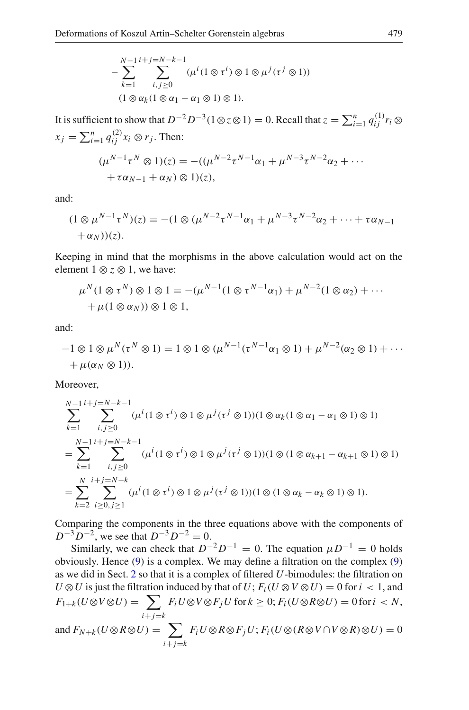$$
-\sum_{k=1}^{N-1} \sum_{i,j\geq 0}^{i+j=N-k-1} (\mu^i (1\otimes \tau^i)\otimes 1\otimes \mu^j (\tau^j\otimes 1))
$$
  
(1\otimes \alpha\_k (1\otimes \alpha\_1 - \alpha\_1\otimes 1)\otimes 1).

It is sufficient to show that  $D^{-2}D^{-3}(1\otimes z\otimes 1) = 0$ . Recall that  $z = \sum_{i=1}^{n} q_{ij}^{(1)} r_i \otimes$  $x_j = \sum_{i=1}^n q_{ij}^{(2)} x_i \otimes r_j$ . Then:

$$
(\mu^{N-1} \tau^N \otimes 1)(z) = -((\mu^{N-2} \tau^{N-1} \alpha_1 + \mu^{N-3} \tau^{N-2} \alpha_2 + \cdots + \tau \alpha_{N-1} + \alpha_N) \otimes 1)(z),
$$

and:

$$
(1 \otimes \mu^{N-1} \tau^N)(z) = -(1 \otimes (\mu^{N-2} \tau^{N-1} \alpha_1 + \mu^{N-3} \tau^{N-2} \alpha_2 + \dots + \tau \alpha_{N-1} + \alpha_N))(z).
$$

Keeping in mind that the morphisms in the above calculation would act on the element  $1 \otimes z \otimes 1$ , we have:

$$
\mu^N(1 \otimes \tau^N) \otimes 1 \otimes 1 = -(\mu^{N-1}(1 \otimes \tau^{N-1}\alpha_1) + \mu^{N-2}(1 \otimes \alpha_2) + \cdots
$$
  
+ 
$$
\mu(1 \otimes \alpha_N)) \otimes 1 \otimes 1,
$$

and:

$$
-1 \otimes 1 \otimes \mu^N(\tau^N \otimes 1) = 1 \otimes 1 \otimes (\mu^{N-1}(\tau^{N-1}\alpha_1 \otimes 1) + \mu^{N-2}(\alpha_2 \otimes 1) + \cdots
$$
  
+  $\mu(\alpha_N \otimes 1)$ ).

Moreover,

$$
\sum_{k=1}^{N-1} \sum_{i,j\geq 0}^{i+j=N-k-1} (\mu^i (1 \otimes \tau^i) \otimes 1 \otimes \mu^j (\tau^j \otimes 1)) (1 \otimes \alpha_k (1 \otimes \alpha_1 - \alpha_1 \otimes 1) \otimes 1)
$$
  
= 
$$
\sum_{k=1}^{N-1} \sum_{i,j\geq 0}^{i+j=N-k-1} (\mu^i (1 \otimes \tau^i) \otimes 1 \otimes \mu^j (\tau^j \otimes 1)) (1 \otimes (1 \otimes \alpha_{k+1} - \alpha_{k+1} \otimes 1) \otimes 1)
$$
  
= 
$$
\sum_{k=2}^{N} \sum_{i\geq 0, j\geq 1}^{i+j=N-k} (\mu^i (1 \otimes \tau^i) \otimes 1 \otimes \mu^j (\tau^j \otimes 1)) (1 \otimes (1 \otimes \alpha_k - \alpha_k \otimes 1) \otimes 1).
$$

Comparing the components in the three equations above with the components of  $D^{-3}D^{-2}$ , we see that  $D^{-3}D^{-2} = 0$ .

Similarly, we can check that  $D^{-2}D^{-1} = 0$ . The equation  $\mu D^{-1} = 0$  holds obviously. Hence [\(9\)](#page-15-0) is a complex. We may define a filtration on the complex [\(9\)](#page-15-0) as we did in Sect. [2](#page-4-0) so that it is a complex of filtered *U*-bimodules: the filtration on *U*  $\otimes$  *U* is just the filtration induced by that of *U*;  $F_i$  (*U*  $\otimes$  *V*  $\otimes$  *U*) = 0 for *i* < 1, and  $F_{1+k}(U\otimes V\otimes U) = \sum$  $i + j = k$  $F_i U \otimes V \otimes F_j U$  for  $k \geq 0$ ;  $F_i(U \otimes R \otimes U) = 0$  for  $i < N$ , and  $F_{N+k}(U\otimes R\otimes U) = \sum$  $i + j = k$  $F_i U \otimes R \otimes F_j U$ ;  $F_i(U \otimes (R \otimes V \cap V \otimes R) \otimes U) = 0$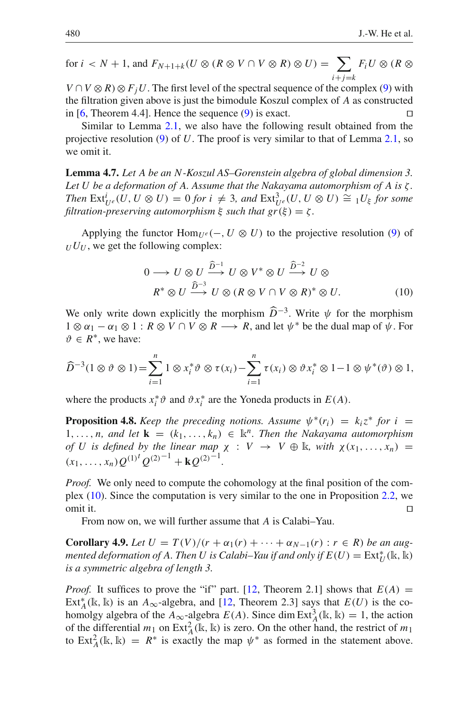for  $i < N + 1$ , and  $F_{N+1+k}(U \otimes (R \otimes V \cap V \otimes R) \otimes U) = \sum$  $i + j = k$  $F_i U \otimes (R \otimes$ 

 $V \cap V \otimes R \otimes F_iU$ . The first level of the spectral sequence of the complex [\(9\)](#page-15-0) with the filtration given above is just the bimodule Koszul complex of *A* as constructed in [\[6,](#page-19-4) Theorem 4.4]. Hence the sequence [\(9\)](#page-15-0) is exact.  $\square$ 

Similar to Lemma [2.1,](#page-5-2) we also have the following result obtained from the projective resolution [\(9\)](#page-15-0) of *U*. The proof is very similar to that of Lemma [2.1,](#page-5-2) so we omit it.

**Lemma 4.7.** *Let A be an N-Koszul AS–Gorenstein algebra of global dimension 3. Let U be a deformation of A. Assume that the Nakayama automorphism of A is* ζ *. Then*  $\text{Ext}^i_{U^e}(U, U \otimes U) = 0$  *for i*  $\neq 3$ *, and*  $\text{Ext}^3_{U^e}(U, U \otimes U) \cong {}_1U_{\xi}$  *for some filtration-preserving automorphism*  $\xi$  *such that*  $gr(\xi) = \zeta$ .

<span id="page-17-1"></span>Applying the functor  $\text{Hom}_{U^e}(-, U \otimes U)$  to the projective resolution [\(9\)](#page-15-0) of  $U U$ , we get the following complex:

$$
0 \longrightarrow U \otimes U \xrightarrow{\widehat{D}^{-1}} U \otimes V^* \otimes U \xrightarrow{\widehat{D}^{-2}} U \otimes
$$
  

$$
R^* \otimes U \xrightarrow{\widehat{D}^{-3}} U \otimes (R \otimes V \cap V \otimes R)^* \otimes U.
$$
 (10)

We only write down explicitly the morphism  $\widehat{D}^{-3}$ . Write  $\psi$  for the morphism  $1 \otimes \psi$  and  $1 \otimes \psi$  and  $1 \otimes \psi$ . The morphism  $1 \otimes \alpha_1 - \alpha_1 \otimes 1 : R \otimes V \cap V \otimes R \longrightarrow R$ , and let  $\psi^*$  be the dual map of  $\psi$ . For  $\vartheta \in R^*$ , we have:

$$
\widehat{D}^{-3}(1\otimes \vartheta\otimes 1)=\sum_{i=1}^n 1\otimes x_i^*\vartheta\otimes \tau(x_i)-\sum_{i=1}^n \tau(x_i)\otimes \vartheta x_i^*\otimes 1-1\otimes \psi^*(\vartheta)\otimes 1,
$$

<span id="page-17-0"></span>where the products  $x_i^* \vartheta$  and  $\vartheta x_i^*$  are the Yoneda products in  $E(A)$ .

**Proposition 4.8.** *Keep the preceding notions. Assume*  $\psi^*(r_i) = k_i z^*$  *for*  $i =$ 1,..., *n*, and let  $\mathbf{k} = (k_1, \ldots, k_n) \in \mathbb{k}^n$ . Then the Nakayama automorphism *of U is defined by the linear map*  $\chi : V \rightarrow V \oplus \mathbb{R}$ *, with*  $\chi(x_1, \ldots, x_n) =$ (*x*1,..., *xn*)*Q*(1)*<sup>t</sup> <sup>Q</sup>*(2)−<sup>1</sup> <sup>+</sup> **<sup>k</sup>***Q*(2)−<sup>1</sup> *.*

*Proof.* We only need to compute the cohomology at the final position of the complex [\(10\)](#page-17-1). Since the computation is very similar to the one in Proposition [2.2,](#page-7-0) we omit it.

From now on, we will further assume that *A* is Calabi–Yau.

<span id="page-17-2"></span>**Corollary 4.9.** *Let*  $U = T(V)/(r + \alpha_1(r) + \cdots + \alpha_{N-1}(r) : r \in R)$  *be an augmented deformation of A. Then U is Calabi–Yau if and only if*  $E(U) = \text{Ext}^*_U(\Bbbk, \overline{\Bbbk})$ *is a symmetric algebra of length 3.*

*Proof.* It suffices to prove the "if" part. [\[12](#page-19-15), Theorem 2.1] shows that  $E(A) =$ Ext<sup>\*</sup><sub>*A*</sub>(k, k) is an *A*<sub>∞</sub>-algebra, and [\[12](#page-19-15), Theorem 2.3] says that  $E(U)$  is the cohomolgy algebra of the  $A_{\infty}$ -algebra  $E(A)$ . Since dim Ext<sub>A</sub><sup>3</sup>(k, k) = 1, the action of the differential  $m_1$  on  $\text{Ext}_{A}^{2}(\mathbb{k}, \mathbb{k})$  is zero. On the other hand, the restrict of  $m_1$ to Ext<sub>A</sub>(k, k) =  $R^*$  is exactly the map  $\psi^*$  as formed in the statement above.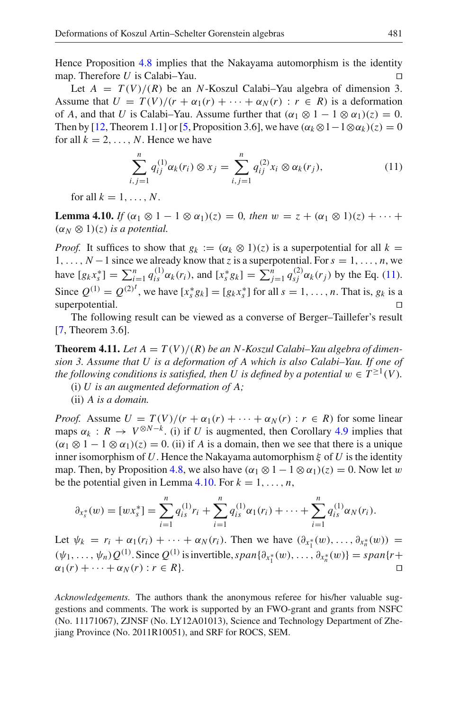Hence Proposition [4.8](#page-17-0) implies that the Nakayama automorphism is the identity map. Therefore *U* is Calabi–Yau.

Let  $A = T(V)/(R)$  be an *N*-Koszul Calabi–Yau algebra of dimension 3. Assume that  $U = T(V)/(r + \alpha_1(r) + \cdots + \alpha_N(r) : r \in R)$  is a deformation of *A*, and that *U* is Calabi–Yau. Assume further that  $(\alpha_1 \otimes 1 - 1 \otimes \alpha_1)(z) = 0$ . Then by [\[12,](#page-19-15) Theorem 1.1] or [\[5](#page-19-14), Proposition 3.6], we have  $(\alpha_k \otimes 1 - 1 \otimes \alpha_k)(z) = 0$ for all  $k = 2, \ldots, N$ . Hence we have

$$
\sum_{i,j=1}^{n} q_{ij}^{(1)} \alpha_k(r_i) \otimes x_j = \sum_{i,j=1}^{n} q_{ij}^{(2)} x_i \otimes \alpha_k(r_j), \qquad (11)
$$

<span id="page-18-1"></span>for all  $k = 1, \ldots, N$ .

<span id="page-18-2"></span>**Lemma 4.10.** *If*  $(\alpha_1 \otimes 1 - 1 \otimes \alpha_1)(z) = 0$ *, then*  $w = z + (\alpha_1 \otimes 1)(z) + \cdots$  $(\alpha_N \otimes 1)(z)$  *is a potential.* 

*Proof.* It suffices to show that  $g_k := (\alpha_k \otimes 1)(z)$  is a superpotential for all  $k =$ 1, ...,  $N-1$  since we already know that *z* is a superpotential. For  $s = 1, \ldots, n$ , we have  $[g_k x_s^*] = \sum_{i=1}^n q_{is}^{(1)} \alpha_k(r_i)$ , and  $[x_s^* g_k] = \sum_{j=1}^n q_{sj}^{(2)} \alpha_k(r_j)$  by the Eq. [\(11\)](#page-18-1). Since  $Q^{(1)} = Q^{(2)^t}$ , we have  $[x_s^* g_k] = [g_k x_s^*]$  for all  $s = 1, ..., n$ . That is,  $g_k$  is a superpotential.

<span id="page-18-0"></span>The following result can be viewed as a converse of Berger–Taillefer's result [\[7,](#page-19-19) Theorem 3.6].

**Theorem 4.11.** Let  $A = T(V)/(R)$  be an N-Koszul Calabi–Yau algebra of dimen*sion 3. Assume that U is a deformation of A which is also Calabi–Yau. If one of the following conditions is satisfied, then U is defined by a potential*  $w \in T^{\geq 1}(V)$ *.* 

(i) *U is an augmented deformation of A;*

(ii) *A is a domain.*

*Proof.* Assume  $U = T(V)/(r + \alpha_1(r) + \cdots + \alpha_N(r) : r \in R)$  for some linear maps  $\alpha_k : R \to V^{\otimes N-k}$ . (i) if *U* is augmented, then Corollary [4.9](#page-17-2) implies that  $(\alpha_1 \otimes 1 - 1 \otimes \alpha_1)(z) = 0$ . (ii) if *A* is a domain, then we see that there is a unique inner isomorphism of U. Hence the Nakayama automorphism  $\xi$  of U is the identity map. Then, by Proposition [4.8,](#page-17-0) we also have  $(\alpha_1 \otimes 1 - 1 \otimes \alpha_1)(z) = 0$ . Now let w be the potential given in Lemma [4.10.](#page-18-2) For  $k = 1, \ldots, n$ ,

$$
\partial_{x_s^*}(w) = [wx_s^*] = \sum_{i=1}^n q_{is}^{(1)} r_i + \sum_{i=1}^n q_{is}^{(1)} \alpha_1(r_i) + \cdots + \sum_{i=1}^n q_{is}^{(1)} \alpha_N(r_i).
$$

Let  $\psi_k = r_i + \alpha_1(r_i) + \cdots + \alpha_N(r_i)$ . Then we have  $(\partial_{x_1^*}(w), \dots, \partial_{x_n^*}(w)) =$  $(\psi_1, \ldots, \psi_n) Q^{(1)}$ . Since  $Q^{(1)}$  is invertible,  $span{\{\partial_{x_1^*}(w), \ldots, \partial_{x_n^*}(w)\}} = span{r+1}$  $\alpha_1(r) + \cdots + \alpha_N(r)$ :  $r \in R$ .

*Acknowledgements.* The authors thank the anonymous referee for his/her valuable suggestions and comments. The work is supported by an FWO-grant and grants from NSFC (No. 11171067), ZJNSF (No. LY12A01013), Science and Technology Department of Zhejiang Province (No. 2011R10051), and SRF for ROCS, SEM.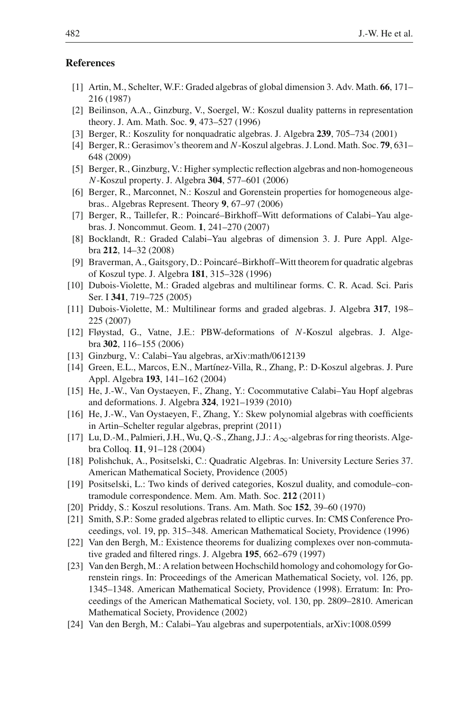### <span id="page-19-22"></span>**References**

- [1] Artin, M., Schelter, W.F.: Graded algebras of global dimension 3. Adv. Math. **66**, 171– 216 (1987)
- <span id="page-19-10"></span>[2] Beilinson, A.A., Ginzburg, V., Soergel, W.: Koszul duality patterns in representation theory. J. Am. Math. Soc. **9**, 473–527 (1996)
- <span id="page-19-8"></span>[3] Berger, R.: Koszulity for nonquadratic algebras. J. Algebra **239**, 705–734 (2001)
- <span id="page-19-7"></span>[4] Berger, R.: Gerasimov's theorem and *N*-Koszul algebras. J. Lond. Math. Soc. **79**, 631– 648 (2009)
- <span id="page-19-14"></span>[5] Berger, R., Ginzburg, V.: Higher symplectic reflection algebras and non-homogeneous *N*-Koszul property. J. Algebra **304**, 577–601 (2006)
- <span id="page-19-4"></span>[6] Berger, R., Marconnet, N.: Koszul and Gorenstein properties for homogeneous algebras.. Algebras Represent. Theory **9**, 67–97 (2006)
- <span id="page-19-19"></span>[7] Berger, R., Taillefer, R.: Poincaré–Birkhoff–Witt deformations of Calabi–Yau algebras. J. Noncommut. Geom. **1**, 241–270 (2007)
- <span id="page-19-5"></span>[8] Bocklandt, R.: Graded Calabi–Yau algebras of dimension 3. J. Pure Appl. Algebra **212**, 14–32 (2008)
- <span id="page-19-13"></span>[9] Braverman, A., Gaitsgory, D.: Poincaré–Birkhoff–Witt theorem for quadratic algebras of Koszul type. J. Algebra **181**, 315–328 (1996)
- <span id="page-19-1"></span>[10] Dubois-Violette, M.: Graded algebras and multilinear forms. C. R. Acad. Sci. Paris Ser. I **341**, 719–725 (2005)
- <span id="page-19-2"></span>[11] Dubois-Violette, M.: Multilinear forms and graded algebras. J. Algebra **317**, 198– 225 (2007)
- <span id="page-19-15"></span>[12] Fløystad, G., Vatne, J.E.: PBW-deformations of *N*-Koszul algebras. J. Algebra **302**, 116–155 (2006)
- <span id="page-19-18"></span>[13] Ginzburg, V.: Calabi–Yau algebras, arXiv:math/0612139
- <span id="page-19-12"></span>[14] Green, E.L., Marcos, E.N., Martínez-Villa, R., Zhang, P.: D-Koszul algebras. J. Pure Appl. Algebra **193**, 141–162 (2004)
- <span id="page-19-6"></span>[15] He, J.-W., Van Oystaeyen, F., Zhang, Y.: Cocommutative Calabi–Yau Hopf algebras and deformations. J. Algebra **324**, 1921–1939 (2010)
- <span id="page-19-0"></span>[16] He, J.-W., Van Oystaeyen, F., Zhang, Y.: Skew polynomial algebras with coefficients in Artin–Schelter regular algebras, preprint (2011)
- <span id="page-19-17"></span>[17] Lu, D.-M., Palmieri, J.H., Wu, Q.-S., Zhang, J.J.: *A*∞-algebras for ring theorists. Algebra Colloq. **11**, 91–128 (2004)
- <span id="page-19-11"></span>[18] Polishchuk, A., Positselski, C.: Quadratic Algebras. In: University Lecture Series 37. American Mathematical Society, Providence (2005)
- <span id="page-19-20"></span>[19] Positselski, L.: Two kinds of derived categories, Koszul duality, and comodule–contramodule correspondence. Mem. Am. Math. Soc. **212** (2011)
- <span id="page-19-9"></span>[20] Priddy, S.: Koszul resolutions. Trans. Am. Math. Soc **152**, 39–60 (1970)
- <span id="page-19-16"></span>[21] Smith, S.P.: Some graded algebras related to elliptic curves. In: CMS Conference Proceedings, vol. 19, pp. 315–348. American Mathematical Society, Providence (1996)
- <span id="page-19-3"></span>[22] Van den Bergh, M.: Existence theorems for dualizing complexes over non-commutative graded and filtered rings. J. Algebra **195**, 662–679 (1997)
- <span id="page-19-21"></span>[23] Van den Bergh, M.: A relation between Hochschild homology and cohomology for Gorenstein rings. In: Proceedings of the American Mathematical Society, vol. 126, pp. 1345–1348. American Mathematical Society, Providence (1998). Erratum: In: Proceedings of the American Mathematical Society, vol. 130, pp. 2809–2810. American Mathematical Society, Providence (2002)
- <span id="page-19-23"></span>[24] Van den Bergh, M.: Calabi–Yau algebras and superpotentials, arXiv:1008.0599